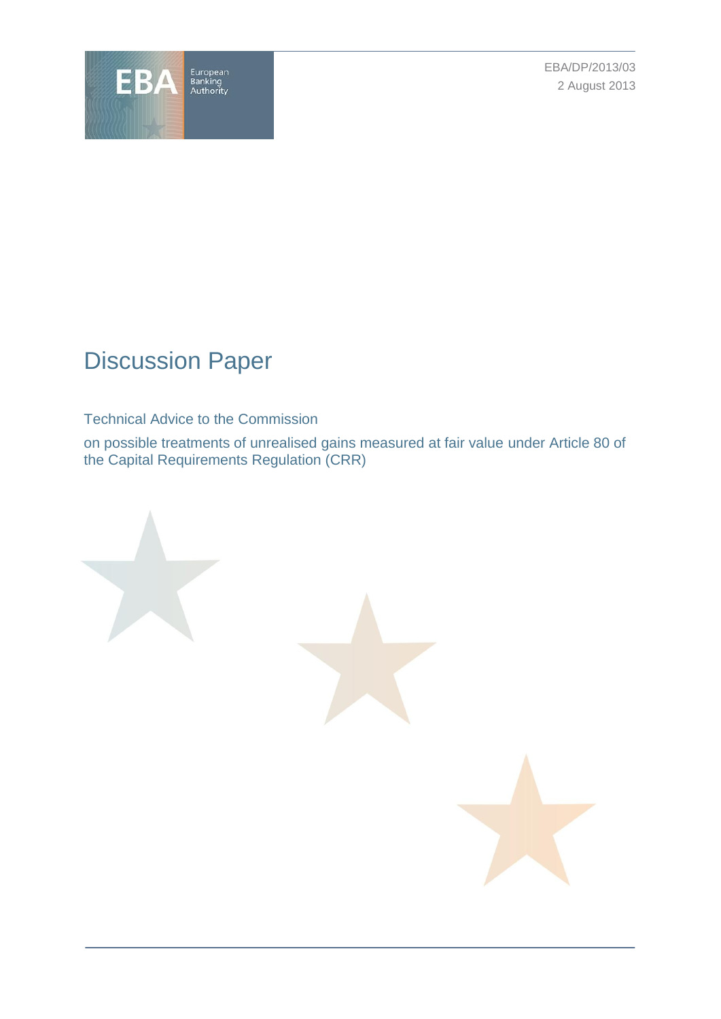

EBA/DP/2013/03 2 August 2013

# Discussion Paper

# Technical Advice to the Commission

on possible treatments of unrealised gains measured at fair value under Article 80 of the Capital Requirements Regulation (CRR)

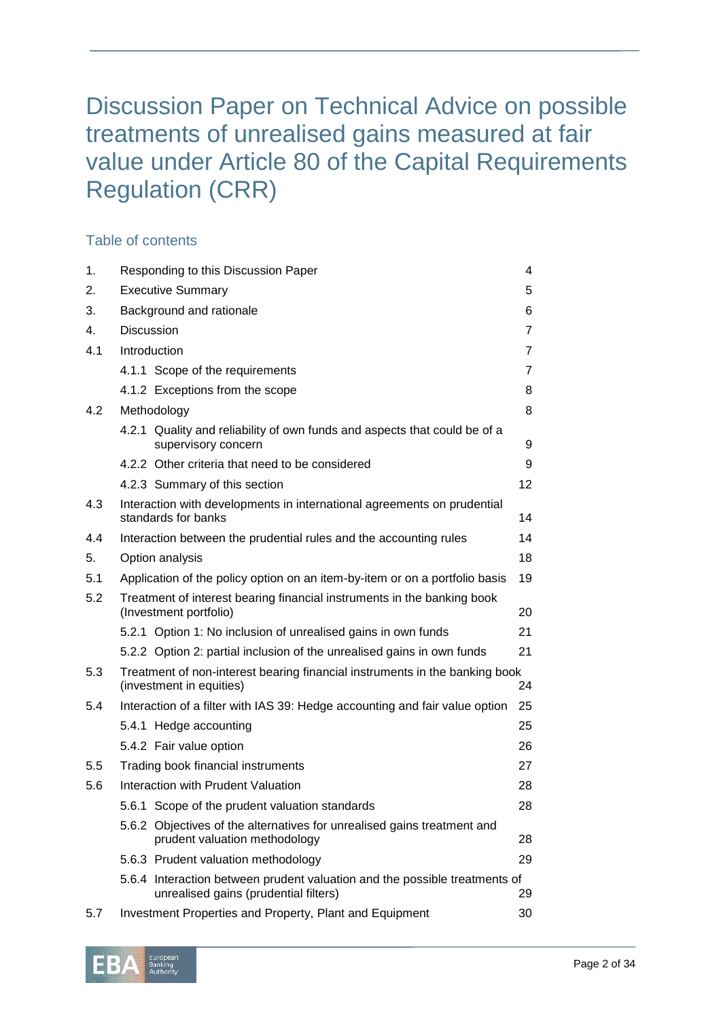# Discussion Paper on Technical Advice on possible treatments of unrealised gains measured at fair value under Article 80 of the Capital Requirements Regulation (CRR)

# Table of contents

| 1.  | Responding to this Discussion Paper<br>4                                                                            |    |
|-----|---------------------------------------------------------------------------------------------------------------------|----|
| 2.  | <b>Executive Summary</b>                                                                                            | 5  |
| 3.  | Background and rationale                                                                                            | 6  |
| 4.  | <b>Discussion</b>                                                                                                   | 7  |
| 4.1 | Introduction                                                                                                        | 7  |
|     | 4.1.1 Scope of the requirements                                                                                     | 7  |
|     | 4.1.2 Exceptions from the scope                                                                                     | 8  |
| 4.2 | Methodology                                                                                                         | 8  |
|     | 4.2.1 Quality and reliability of own funds and aspects that could be of a<br>supervisory concern                    | 9  |
|     | 4.2.2 Other criteria that need to be considered                                                                     | 9  |
|     | 4.2.3 Summary of this section                                                                                       | 12 |
| 4.3 | Interaction with developments in international agreements on prudential<br>standards for banks                      | 14 |
| 4.4 | Interaction between the prudential rules and the accounting rules                                                   | 14 |
| 5.  | Option analysis                                                                                                     | 18 |
| 5.1 | Application of the policy option on an item-by-item or on a portfolio basis                                         | 19 |
| 5.2 | Treatment of interest bearing financial instruments in the banking book<br>(Investment portfolio)                   | 20 |
|     | 5.2.1 Option 1: No inclusion of unrealised gains in own funds                                                       | 21 |
|     | 5.2.2 Option 2: partial inclusion of the unrealised gains in own funds                                              | 21 |
| 5.3 | Treatment of non-interest bearing financial instruments in the banking book<br>(investment in equities)<br>24       |    |
| 5.4 | Interaction of a filter with IAS 39: Hedge accounting and fair value option                                         | 25 |
|     | 5.4.1 Hedge accounting                                                                                              | 25 |
|     | 5.4.2 Fair value option                                                                                             | 26 |
| 5.5 | Trading book financial instruments                                                                                  | 27 |
| 5.6 | Interaction with Prudent Valuation                                                                                  | 28 |
|     | 5.6.1 Scope of the prudent valuation standards                                                                      | 28 |
|     | 5.6.2 Objectives of the alternatives for unrealised gains treatment and<br>prudent valuation methodology            | 28 |
|     | 5.6.3 Prudent valuation methodology                                                                                 | 29 |
|     | 5.6.4 Interaction between prudent valuation and the possible treatments of<br>unrealised gains (prudential filters) | 29 |
| 5.7 | Investment Properties and Property, Plant and Equipment                                                             | 30 |

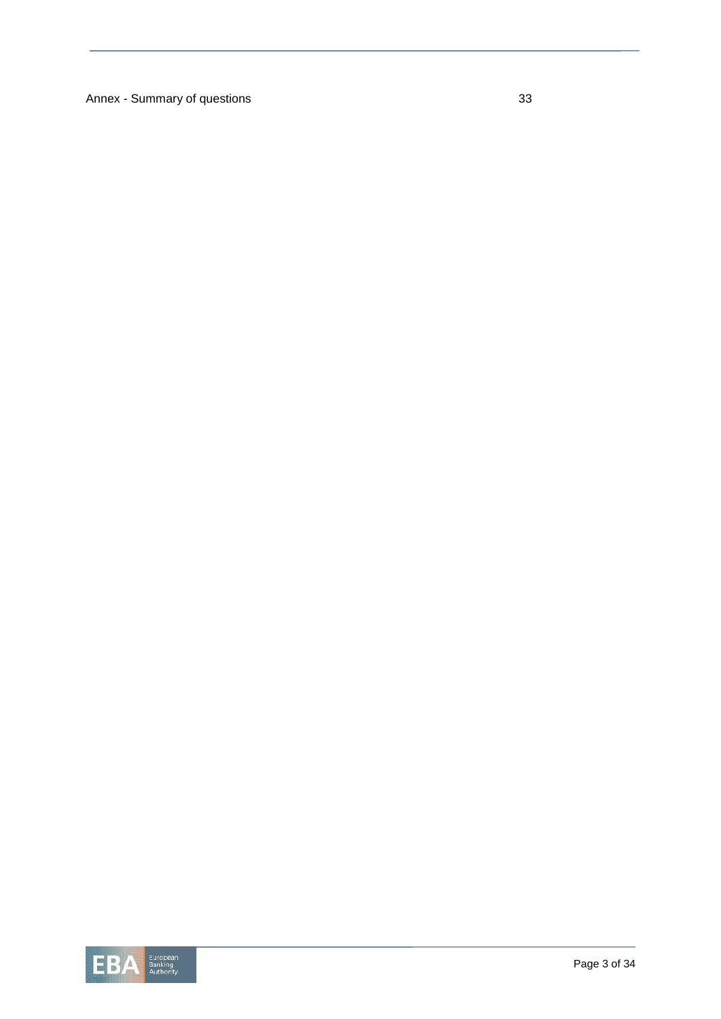Annex - Summary of questions 33

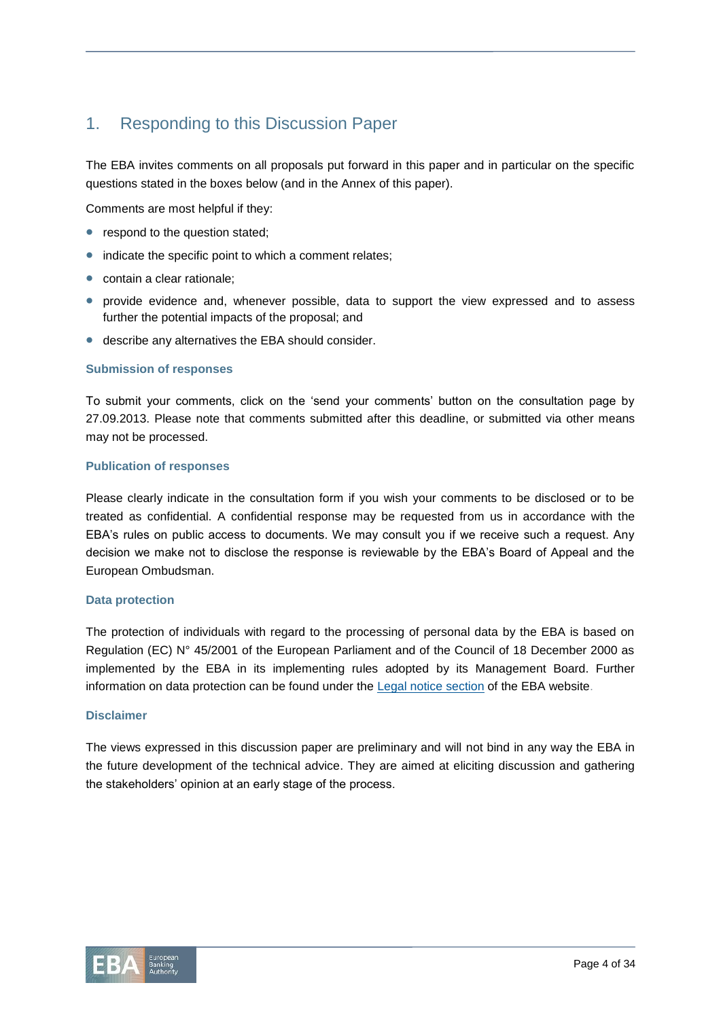# 1. Responding to this Discussion Paper

The EBA invites comments on all proposals put forward in this paper and in particular on the specific questions stated in the boxes below (and in the Annex of this paper).

Comments are most helpful if they:

- respond to the question stated;
- indicate the specific point to which a comment relates;
- contain a clear rationale;
- provide evidence and, whenever possible, data to support the view expressed and to assess further the potential impacts of the proposal; and
- describe any alternatives the EBA should consider.

#### **Submission of responses**

To submit your comments, click on the 'send your comments' button on the consultation page by 27.09.2013. Please note that comments submitted after this deadline, or submitted via other means may not be processed.

#### **Publication of responses**

Please clearly indicate in the consultation form if you wish your comments to be disclosed or to be treated as confidential. A confidential response may be requested from us in accordance with the EBA's rules on public access to documents. We may consult you if we receive such a request. Any decision we make not to disclose the response is reviewable by the EBA's Board of Appeal and the European Ombudsman.

#### **Data protection**

The protection of individuals with regard to the processing of personal data by the EBA is based on Regulation (EC) N° 45/2001 of the European Parliament and of the Council of 18 December 2000 as implemented by the EBA in its implementing rules adopted by its Management Board. Further information on data protection can be found under the Legal notice [section](http://eba.europa.eu/legal-notice) of the EBA website.

#### **Disclaimer**

The views expressed in this discussion paper are preliminary and will not bind in any way the EBA in the future development of the technical advice. They are aimed at eliciting discussion and gathering the stakeholders' opinion at an early stage of the process.

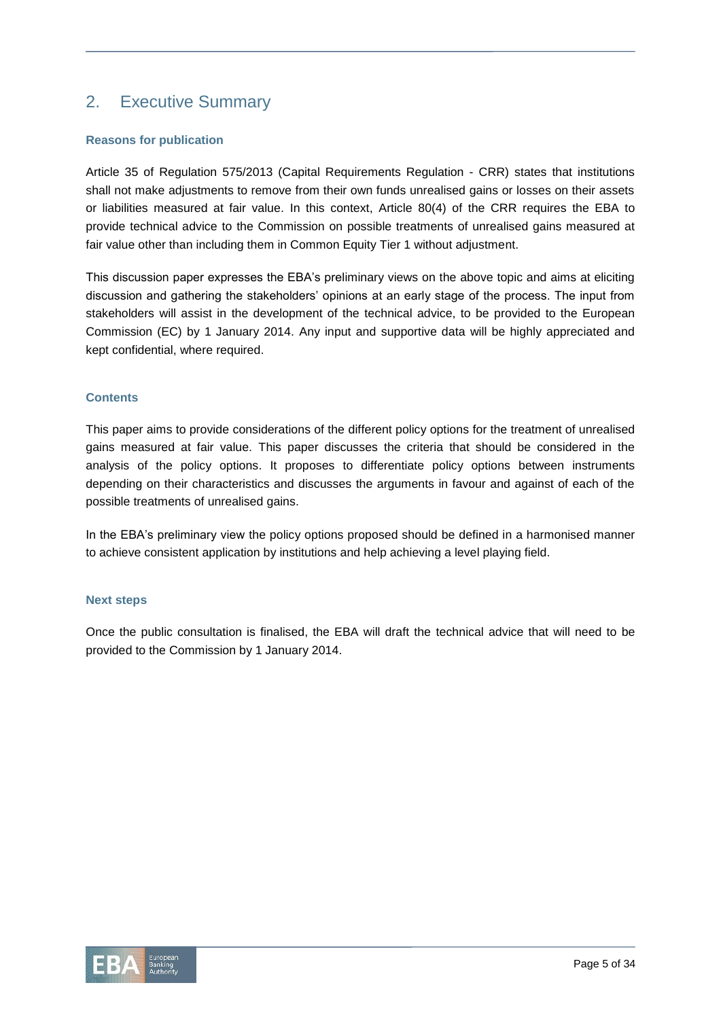# 2. Executive Summary

# **Reasons for publication**

Article 35 of Regulation 575/2013 (Capital Requirements Regulation - CRR) states that institutions shall not make adjustments to remove from their own funds unrealised gains or losses on their assets or liabilities measured at fair value. In this context, Article 80(4) of the CRR requires the EBA to provide technical advice to the Commission on possible treatments of unrealised gains measured at fair value other than including them in Common Equity Tier 1 without adjustment.

This discussion paper expresses the EBA's preliminary views on the above topic and aims at eliciting discussion and gathering the stakeholders' opinions at an early stage of the process. The input from stakeholders will assist in the development of the technical advice, to be provided to the European Commission (EC) by 1 January 2014. Any input and supportive data will be highly appreciated and kept confidential, where required.

# **Contents**

This paper aims to provide considerations of the different policy options for the treatment of unrealised gains measured at fair value. This paper discusses the criteria that should be considered in the analysis of the policy options. It proposes to differentiate policy options between instruments depending on their characteristics and discusses the arguments in favour and against of each of the possible treatments of unrealised gains.

In the EBA's preliminary view the policy options proposed should be defined in a harmonised manner to achieve consistent application by institutions and help achieving a level playing field.

# **Next steps**

Once the public consultation is finalised, the EBA will draft the technical advice that will need to be provided to the Commission by 1 January 2014.

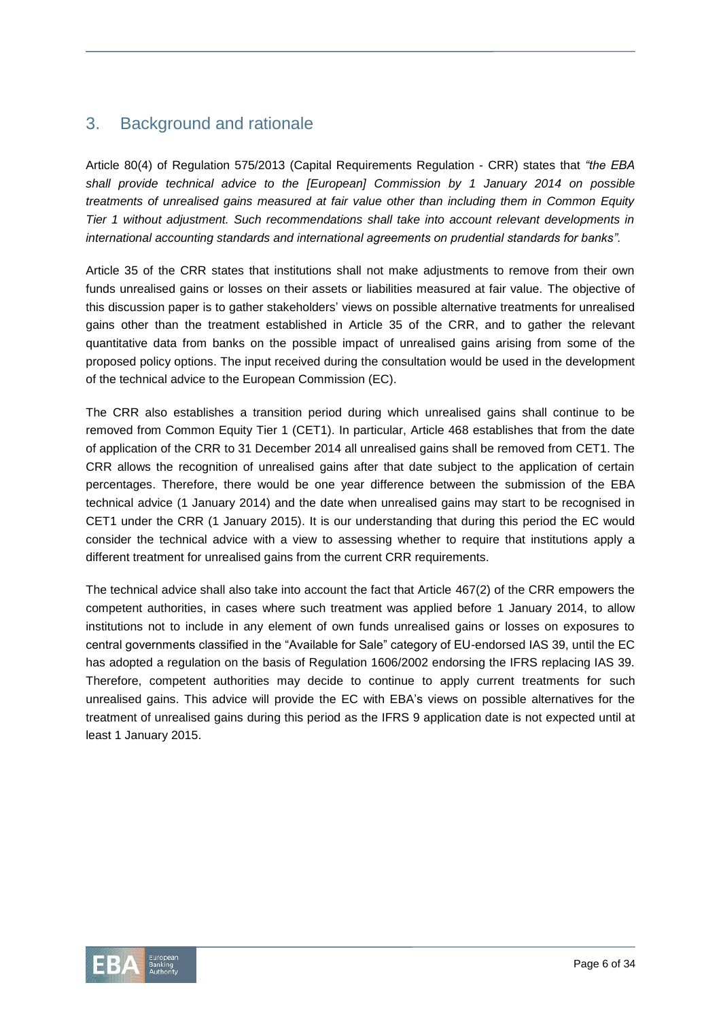# 3. Background and rationale

Article 80(4) of Regulation 575/2013 (Capital Requirements Regulation - CRR) states that *"the EBA shall provide technical advice to the [European] Commission by 1 January 2014 on possible treatments of unrealised gains measured at fair value other than including them in Common Equity Tier 1 without adjustment. Such recommendations shall take into account relevant developments in international accounting standards and international agreements on prudential standards for banks".*

Article 35 of the CRR states that institutions shall not make adjustments to remove from their own funds unrealised gains or losses on their assets or liabilities measured at fair value. The objective of this discussion paper is to gather stakeholders' views on possible alternative treatments for unrealised gains other than the treatment established in Article 35 of the CRR, and to gather the relevant quantitative data from banks on the possible impact of unrealised gains arising from some of the proposed policy options. The input received during the consultation would be used in the development of the technical advice to the European Commission (EC).

The CRR also establishes a transition period during which unrealised gains shall continue to be removed from Common Equity Tier 1 (CET1). In particular, Article 468 establishes that from the date of application of the CRR to 31 December 2014 all unrealised gains shall be removed from CET1. The CRR allows the recognition of unrealised gains after that date subject to the application of certain percentages. Therefore, there would be one year difference between the submission of the EBA technical advice (1 January 2014) and the date when unrealised gains may start to be recognised in CET1 under the CRR (1 January 2015). It is our understanding that during this period the EC would consider the technical advice with a view to assessing whether to require that institutions apply a different treatment for unrealised gains from the current CRR requirements.

The technical advice shall also take into account the fact that Article 467(2) of the CRR empowers the competent authorities, in cases where such treatment was applied before 1 January 2014, to allow institutions not to include in any element of own funds unrealised gains or losses on exposures to central governments classified in the "Available for Sale" category of EU-endorsed IAS 39, until the EC has adopted a regulation on the basis of Regulation 1606/2002 endorsing the IFRS replacing IAS 39. Therefore, competent authorities may decide to continue to apply current treatments for such unrealised gains. This advice will provide the EC with EBA's views on possible alternatives for the treatment of unrealised gains during this period as the IFRS 9 application date is not expected until at least 1 January 2015.

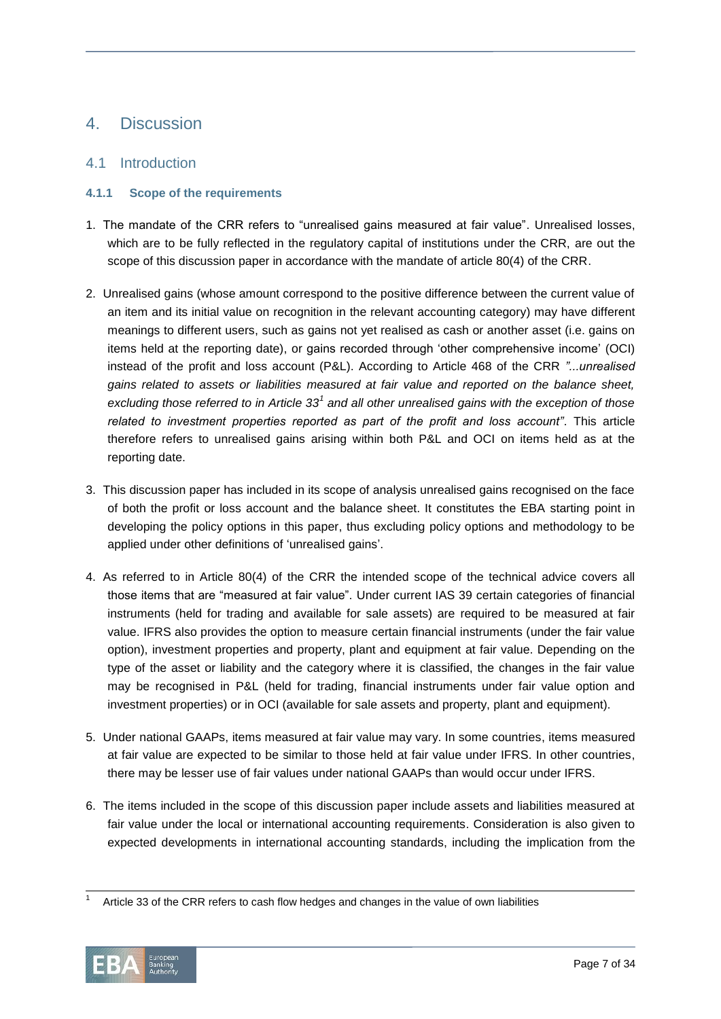# 4. Discussion

# 4.1 Introduction

# **4.1.1 Scope of the requirements**

- 1. The mandate of the CRR refers to "unrealised gains measured at fair value". Unrealised losses, which are to be fully reflected in the regulatory capital of institutions under the CRR, are out the scope of this discussion paper in accordance with the mandate of article 80(4) of the CRR.
- 2. Unrealised gains (whose amount correspond to the positive difference between the current value of an item and its initial value on recognition in the relevant accounting category) may have different meanings to different users, such as gains not yet realised as cash or another asset (i.e. gains on items held at the reporting date), or gains recorded through 'other comprehensive income' (OCI) instead of the profit and loss account (P&L). According to Article 468 of the CRR *"...unrealised gains related to assets or liabilities measured at fair value and reported on the balance sheet,*  excluding those referred to in Article 33<sup>1</sup> and all other unrealised gains with the exception of those *related to investment properties reported as part of the profit and loss account"*. This article therefore refers to unrealised gains arising within both P&L and OCI on items held as at the reporting date.
- 3. This discussion paper has included in its scope of analysis unrealised gains recognised on the face of both the profit or loss account and the balance sheet. It constitutes the EBA starting point in developing the policy options in this paper, thus excluding policy options and methodology to be applied under other definitions of 'unrealised gains'.
- 4. As referred to in Article 80(4) of the CRR the intended scope of the technical advice covers all those items that are "measured at fair value". Under current IAS 39 certain categories of financial instruments (held for trading and available for sale assets) are required to be measured at fair value. IFRS also provides the option to measure certain financial instruments (under the fair value option), investment properties and property, plant and equipment at fair value. Depending on the type of the asset or liability and the category where it is classified, the changes in the fair value may be recognised in P&L (held for trading, financial instruments under fair value option and investment properties) or in OCI (available for sale assets and property, plant and equipment).
- 5. Under national GAAPs, items measured at fair value may vary. In some countries, items measured at fair value are expected to be similar to those held at fair value under IFRS. In other countries, there may be lesser use of fair values under national GAAPs than would occur under IFRS.
- 6. The items included in the scope of this discussion paper include assets and liabilities measured at fair value under the local or international accounting requirements. Consideration is also given to expected developments in international accounting standards, including the implication from the

l 1 Article 33 of the CRR refers to cash flow hedges and changes in the value of own liabilities

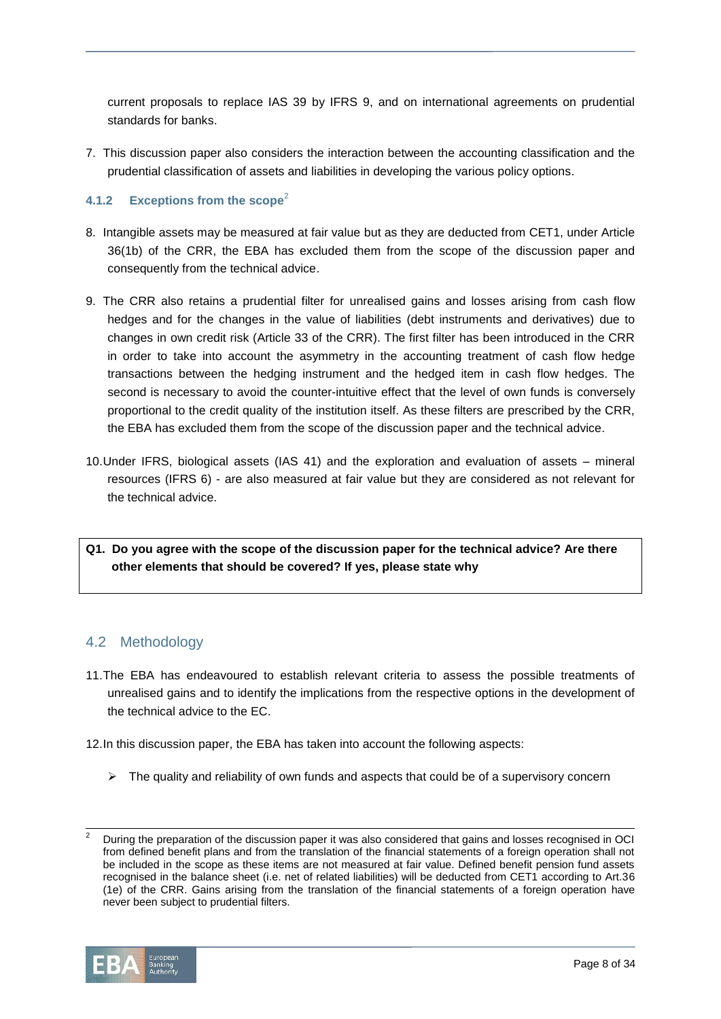current proposals to replace IAS 39 by IFRS 9, and on international agreements on prudential standards for banks.

7. This discussion paper also considers the interaction between the accounting classification and the prudential classification of assets and liabilities in developing the various policy options.

# **4.1.2 Exceptions from the scope<sup>2</sup>**

- 8. Intangible assets may be measured at fair value but as they are deducted from CET1, under Article 36(1b) of the CRR, the EBA has excluded them from the scope of the discussion paper and consequently from the technical advice.
- 9. The CRR also retains a prudential filter for unrealised gains and losses arising from cash flow hedges and for the changes in the value of liabilities (debt instruments and derivatives) due to changes in own credit risk (Article 33 of the CRR). The first filter has been introduced in the CRR in order to take into account the asymmetry in the accounting treatment of cash flow hedge transactions between the hedging instrument and the hedged item in cash flow hedges. The second is necessary to avoid the counter-intuitive effect that the level of own funds is conversely proportional to the credit quality of the institution itself. As these filters are prescribed by the CRR, the EBA has excluded them from the scope of the discussion paper and the technical advice.
- 10.Under IFRS, biological assets (IAS 41) and the exploration and evaluation of assets mineral resources (IFRS 6) - are also measured at fair value but they are considered as not relevant for the technical advice.

**Q1. Do you agree with the scope of the discussion paper for the technical advice? Are there other elements that should be covered? If yes, please state why**

# 4.2 Methodology

- 11.The EBA has endeavoured to establish relevant criteria to assess the possible treatments of unrealised gains and to identify the implications from the respective options in the development of the technical advice to the EC.
- 12.In this discussion paper, the EBA has taken into account the following aspects:
	- $\triangleright$  The quality and reliability of own funds and aspects that could be of a supervisory concern

<sup>2</sup> During the preparation of the discussion paper it was also considered that gains and losses recognised in OCI from defined benefit plans and from the translation of the financial statements of a foreign operation shall not be included in the scope as these items are not measured at fair value. Defined benefit pension fund assets recognised in the balance sheet (i.e. net of related liabilities) will be deducted from CET1 according to Art.36 (1e) of the CRR. Gains arising from the translation of the financial statements of a foreign operation have never been subject to prudential filters.



l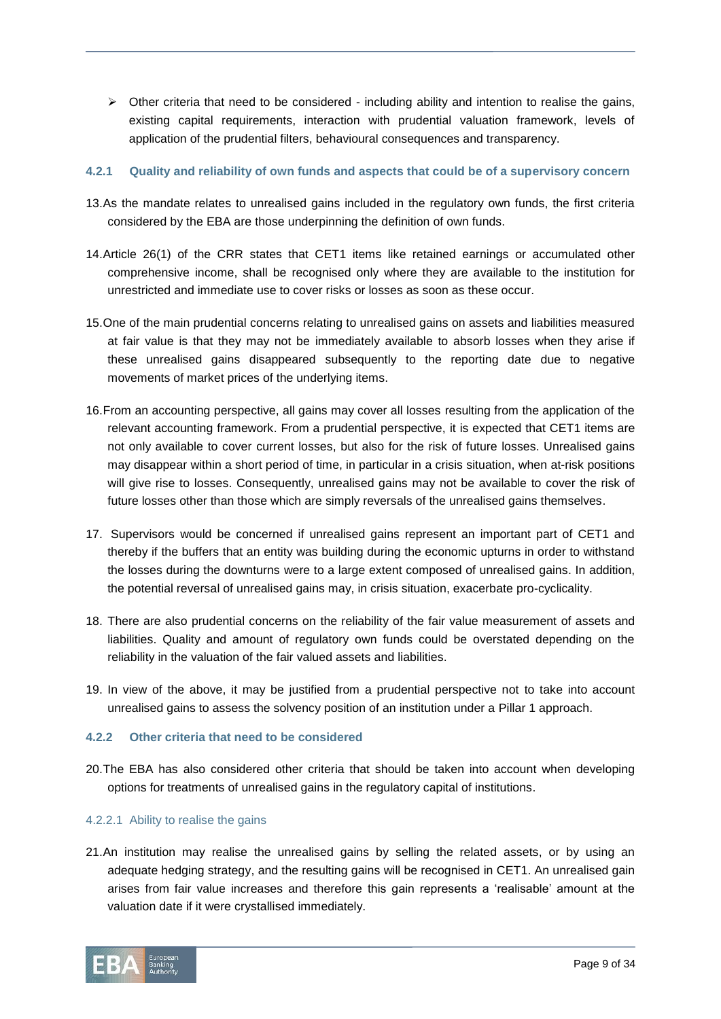$\triangleright$  Other criteria that need to be considered - including ability and intention to realise the gains, existing capital requirements, interaction with prudential valuation framework, levels of application of the prudential filters, behavioural consequences and transparency.

# **4.2.1 Quality and reliability of own funds and aspects that could be of a supervisory concern**

- 13.As the mandate relates to unrealised gains included in the regulatory own funds, the first criteria considered by the EBA are those underpinning the definition of own funds.
- 14.Article 26(1) of the CRR states that CET1 items like retained earnings or accumulated other comprehensive income, shall be recognised only where they are available to the institution for unrestricted and immediate use to cover risks or losses as soon as these occur.
- 15.One of the main prudential concerns relating to unrealised gains on assets and liabilities measured at fair value is that they may not be immediately available to absorb losses when they arise if these unrealised gains disappeared subsequently to the reporting date due to negative movements of market prices of the underlying items.
- 16.From an accounting perspective, all gains may cover all losses resulting from the application of the relevant accounting framework. From a prudential perspective, it is expected that CET1 items are not only available to cover current losses, but also for the risk of future losses. Unrealised gains may disappear within a short period of time, in particular in a crisis situation, when at-risk positions will give rise to losses. Consequently, unrealised gains may not be available to cover the risk of future losses other than those which are simply reversals of the unrealised gains themselves.
- 17. Supervisors would be concerned if unrealised gains represent an important part of CET1 and thereby if the buffers that an entity was building during the economic upturns in order to withstand the losses during the downturns were to a large extent composed of unrealised gains. In addition, the potential reversal of unrealised gains may, in crisis situation, exacerbate pro-cyclicality.
- 18. There are also prudential concerns on the reliability of the fair value measurement of assets and liabilities. Quality and amount of regulatory own funds could be overstated depending on the reliability in the valuation of the fair valued assets and liabilities.
- 19. In view of the above, it may be justified from a prudential perspective not to take into account unrealised gains to assess the solvency position of an institution under a Pillar 1 approach.

# **4.2.2 Other criteria that need to be considered**

20.The EBA has also considered other criteria that should be taken into account when developing options for treatments of unrealised gains in the regulatory capital of institutions.

# 4.2.2.1 Ability to realise the gains

21.An institution may realise the unrealised gains by selling the related assets, or by using an adequate hedging strategy, and the resulting gains will be recognised in CET1. An unrealised gain arises from fair value increases and therefore this gain represents a 'realisable' amount at the valuation date if it were crystallised immediately.

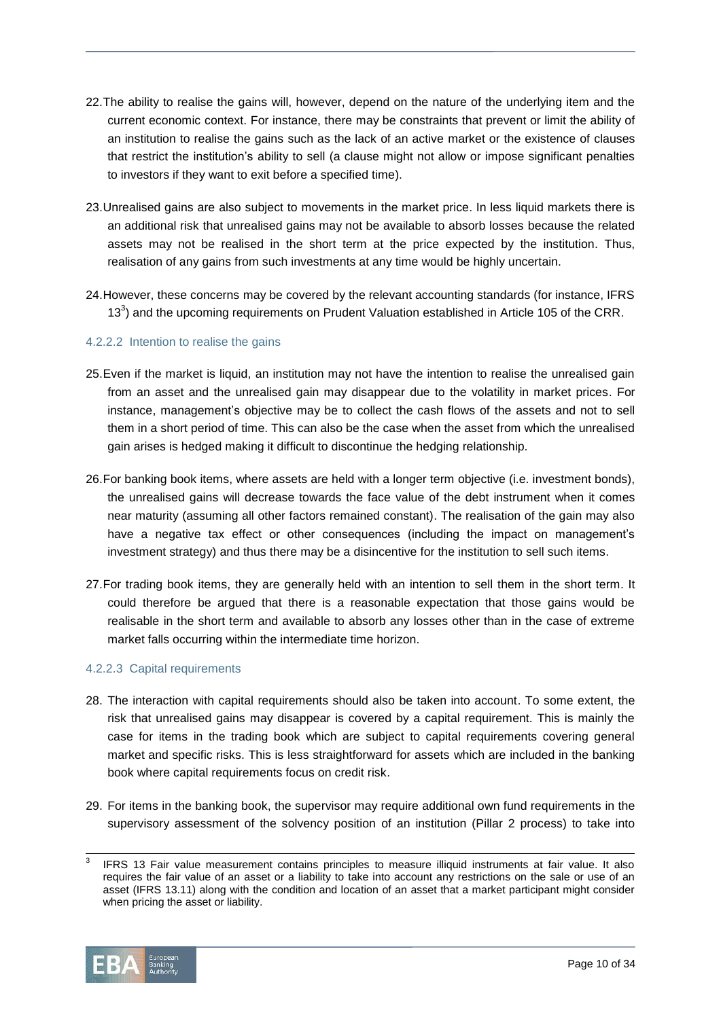- 22.The ability to realise the gains will, however, depend on the nature of the underlying item and the current economic context. For instance, there may be constraints that prevent or limit the ability of an institution to realise the gains such as the lack of an active market or the existence of clauses that restrict the institution's ability to sell (a clause might not allow or impose significant penalties to investors if they want to exit before a specified time).
- 23.Unrealised gains are also subject to movements in the market price. In less liquid markets there is an additional risk that unrealised gains may not be available to absorb losses because the related assets may not be realised in the short term at the price expected by the institution. Thus, realisation of any gains from such investments at any time would be highly uncertain.
- 24.However, these concerns may be covered by the relevant accounting standards (for instance, IFRS 13 $3$ ) and the upcoming requirements on Prudent Valuation established in Article 105 of the CRR.

# 4.2.2.2 Intention to realise the gains

- 25.Even if the market is liquid, an institution may not have the intention to realise the unrealised gain from an asset and the unrealised gain may disappear due to the volatility in market prices. For instance, management's objective may be to collect the cash flows of the assets and not to sell them in a short period of time. This can also be the case when the asset from which the unrealised gain arises is hedged making it difficult to discontinue the hedging relationship.
- 26.For banking book items, where assets are held with a longer term objective (i.e. investment bonds), the unrealised gains will decrease towards the face value of the debt instrument when it comes near maturity (assuming all other factors remained constant). The realisation of the gain may also have a negative tax effect or other consequences (including the impact on management's investment strategy) and thus there may be a disincentive for the institution to sell such items.
- 27.For trading book items, they are generally held with an intention to sell them in the short term. It could therefore be argued that there is a reasonable expectation that those gains would be realisable in the short term and available to absorb any losses other than in the case of extreme market falls occurring within the intermediate time horizon.

# 4.2.2.3 Capital requirements

- 28. The interaction with capital requirements should also be taken into account. To some extent, the risk that unrealised gains may disappear is covered by a capital requirement. This is mainly the case for items in the trading book which are subject to capital requirements covering general market and specific risks. This is less straightforward for assets which are included in the banking book where capital requirements focus on credit risk.
- 29. For items in the banking book, the supervisor may require additional own fund requirements in the supervisory assessment of the solvency position of an institution (Pillar 2 process) to take into

<sup>3</sup> IFRS 13 Fair value measurement contains principles to measure illiquid instruments at fair value. It also requires the fair value of an asset or a liability to take into account any restrictions on the sale or use of an asset (IFRS 13.11) along with the condition and location of an asset that a market participant might consider when pricing the asset or liability.



l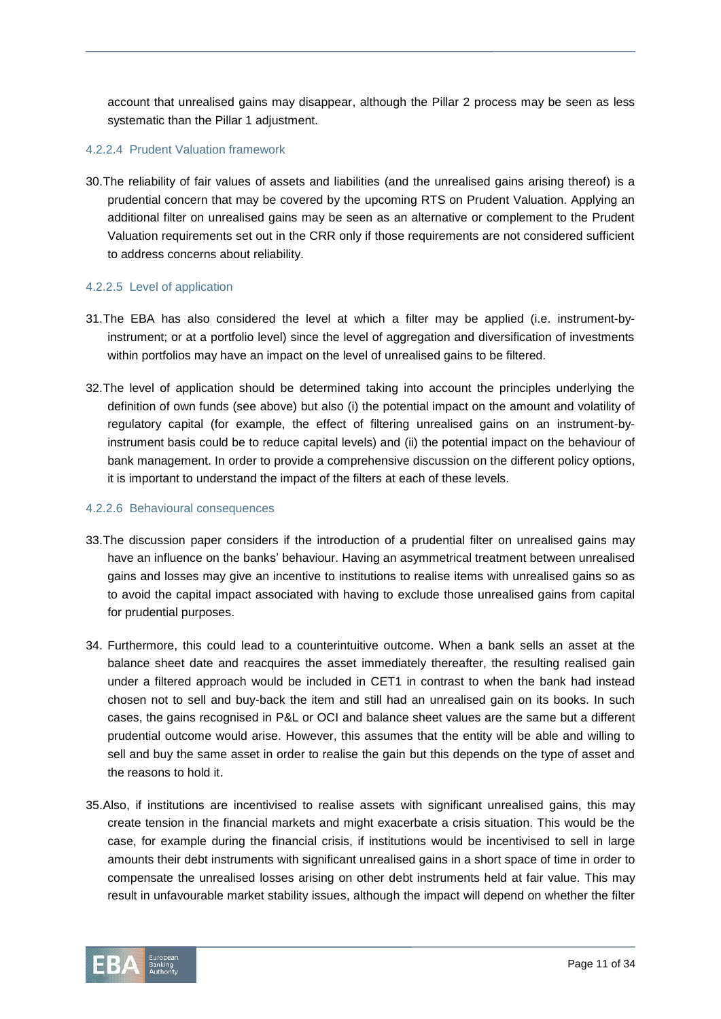account that unrealised gains may disappear, although the Pillar 2 process may be seen as less systematic than the Pillar 1 adjustment.

#### 4.2.2.4 Prudent Valuation framework

30.The reliability of fair values of assets and liabilities (and the unrealised gains arising thereof) is a prudential concern that may be covered by the upcoming RTS on Prudent Valuation. Applying an additional filter on unrealised gains may be seen as an alternative or complement to the Prudent Valuation requirements set out in the CRR only if those requirements are not considered sufficient to address concerns about reliability.

#### 4.2.2.5 Level of application

- 31.The EBA has also considered the level at which a filter may be applied (i.e. instrument-byinstrument; or at a portfolio level) since the level of aggregation and diversification of investments within portfolios may have an impact on the level of unrealised gains to be filtered.
- 32.The level of application should be determined taking into account the principles underlying the definition of own funds (see above) but also (i) the potential impact on the amount and volatility of regulatory capital (for example, the effect of filtering unrealised gains on an instrument-byinstrument basis could be to reduce capital levels) and (ii) the potential impact on the behaviour of bank management. In order to provide a comprehensive discussion on the different policy options, it is important to understand the impact of the filters at each of these levels.

#### 4.2.2.6 Behavioural consequences

- 33.The discussion paper considers if the introduction of a prudential filter on unrealised gains may have an influence on the banks' behaviour. Having an asymmetrical treatment between unrealised gains and losses may give an incentive to institutions to realise items with unrealised gains so as to avoid the capital impact associated with having to exclude those unrealised gains from capital for prudential purposes.
- 34. Furthermore, this could lead to a counterintuitive outcome. When a bank sells an asset at the balance sheet date and reacquires the asset immediately thereafter, the resulting realised gain under a filtered approach would be included in CET1 in contrast to when the bank had instead chosen not to sell and buy-back the item and still had an unrealised gain on its books. In such cases, the gains recognised in P&L or OCI and balance sheet values are the same but a different prudential outcome would arise. However, this assumes that the entity will be able and willing to sell and buy the same asset in order to realise the gain but this depends on the type of asset and the reasons to hold it.
- 35.Also, if institutions are incentivised to realise assets with significant unrealised gains, this may create tension in the financial markets and might exacerbate a crisis situation. This would be the case, for example during the financial crisis, if institutions would be incentivised to sell in large amounts their debt instruments with significant unrealised gains in a short space of time in order to compensate the unrealised losses arising on other debt instruments held at fair value. This may result in unfavourable market stability issues, although the impact will depend on whether the filter

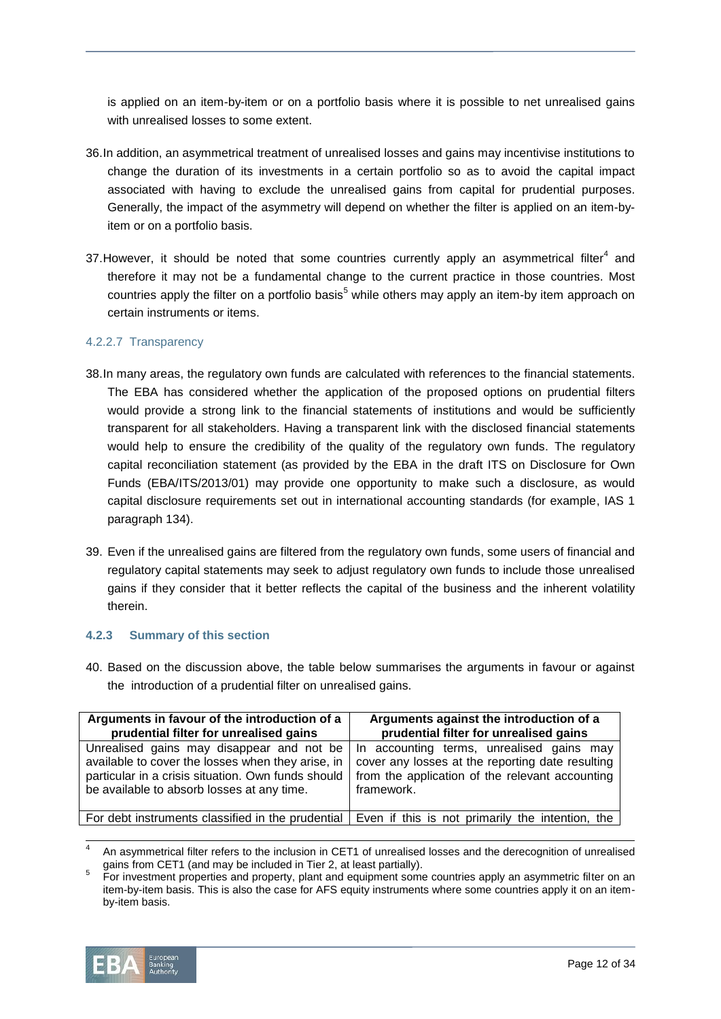is applied on an item-by-item or on a portfolio basis where it is possible to net unrealised gains with unrealised losses to some extent.

- 36.In addition, an asymmetrical treatment of unrealised losses and gains may incentivise institutions to change the duration of its investments in a certain portfolio so as to avoid the capital impact associated with having to exclude the unrealised gains from capital for prudential purposes. Generally, the impact of the asymmetry will depend on whether the filter is applied on an item-byitem or on a portfolio basis.
- 37. However, it should be noted that some countries currently apply an asymmetrical filter<sup>4</sup> and therefore it may not be a fundamental change to the current practice in those countries. Most countries apply the filter on a portfolio basis<sup>5</sup> while others may apply an item-by item approach on certain instruments or items.

#### 4.2.2.7 Transparency

- 38.In many areas, the regulatory own funds are calculated with references to the financial statements. The EBA has considered whether the application of the proposed options on prudential filters would provide a strong link to the financial statements of institutions and would be sufficiently transparent for all stakeholders. Having a transparent link with the disclosed financial statements would help to ensure the credibility of the quality of the regulatory own funds. The regulatory capital reconciliation statement (as provided by the EBA in the draft ITS on Disclosure for Own Funds (EBA/ITS/2013/01) may provide one opportunity to make such a disclosure, as would capital disclosure requirements set out in international accounting standards (for example, IAS 1 paragraph 134).
- 39. Even if the unrealised gains are filtered from the regulatory own funds, some users of financial and regulatory capital statements may seek to adjust regulatory own funds to include those unrealised gains if they consider that it better reflects the capital of the business and the inherent volatility therein.

# **4.2.3 Summary of this section**

40. Based on the discussion above, the table below summarises the arguments in favour or against the introduction of a prudential filter on unrealised gains.

| Arguments in favour of the introduction of a                                                                                                                                                       | Arguments against the introduction of a                                                                                                                        |
|----------------------------------------------------------------------------------------------------------------------------------------------------------------------------------------------------|----------------------------------------------------------------------------------------------------------------------------------------------------------------|
| prudential filter for unrealised gains                                                                                                                                                             | prudential filter for unrealised gains                                                                                                                         |
| Unrealised gains may disappear and not be<br>available to cover the losses when they arise, in<br>particular in a crisis situation. Own funds should<br>be available to absorb losses at any time. | In accounting terms, unrealised gains may<br>cover any losses at the reporting date resulting<br>from the application of the relevant accounting<br>framework. |
| For debt instruments classified in the prudential                                                                                                                                                  | Even if this is not primarily the intention, the                                                                                                               |

<sup>4</sup> An asymmetrical filter refers to the inclusion in CET1 of unrealised losses and the derecognition of unrealised gains from CET1 (and may be included in Tier 2, at least partially).

<sup>5</sup> For investment properties and property, plant and equipment some countries apply an asymmetric filter on an item-by-item basis. This is also the case for AFS equity instruments where some countries apply it on an itemby-item basis.



j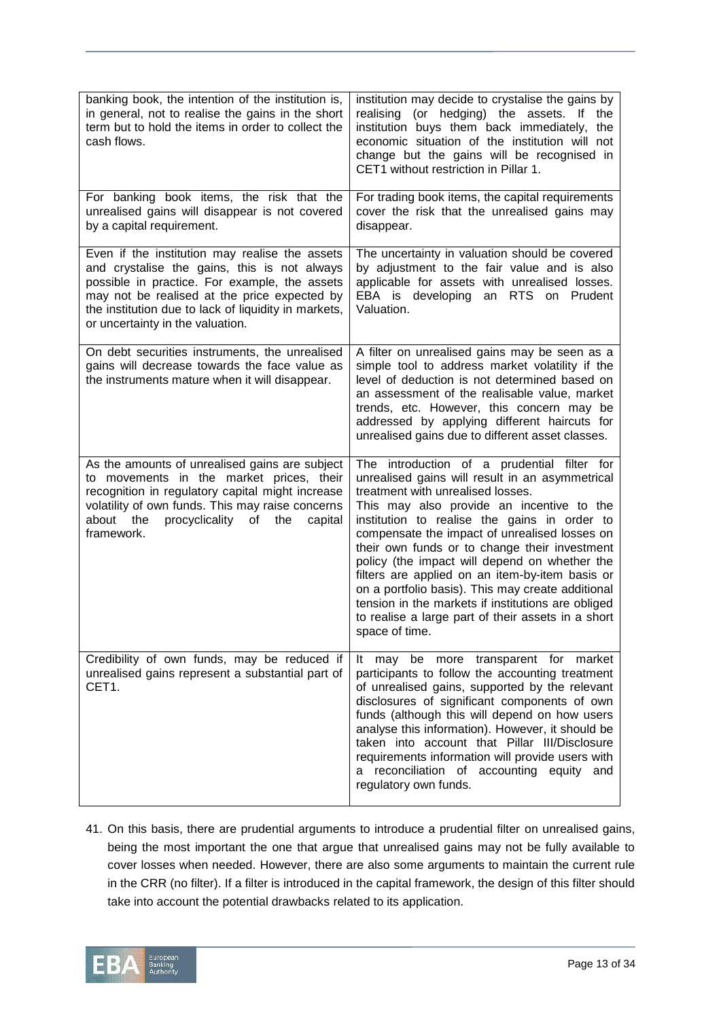| banking book, the intention of the institution is,<br>in general, not to realise the gains in the short<br>term but to hold the items in order to collect the<br>cash flows.                                                                                                                | institution may decide to crystalise the gains by<br>realising (or hedging) the assets. If the<br>institution buys them back immediately, the<br>economic situation of the institution will not<br>change but the gains will be recognised in<br>CET1 without restriction in Pillar 1.                                                                                                                                                                                                                                                                                                                                    |
|---------------------------------------------------------------------------------------------------------------------------------------------------------------------------------------------------------------------------------------------------------------------------------------------|---------------------------------------------------------------------------------------------------------------------------------------------------------------------------------------------------------------------------------------------------------------------------------------------------------------------------------------------------------------------------------------------------------------------------------------------------------------------------------------------------------------------------------------------------------------------------------------------------------------------------|
| For banking book items, the risk that the<br>unrealised gains will disappear is not covered<br>by a capital requirement.                                                                                                                                                                    | For trading book items, the capital requirements<br>cover the risk that the unrealised gains may<br>disappear.                                                                                                                                                                                                                                                                                                                                                                                                                                                                                                            |
| Even if the institution may realise the assets<br>and crystalise the gains, this is not always<br>possible in practice. For example, the assets<br>may not be realised at the price expected by<br>the institution due to lack of liquidity in markets,<br>or uncertainty in the valuation. | The uncertainty in valuation should be covered<br>by adjustment to the fair value and is also<br>applicable for assets with unrealised losses.<br>EBA is developing<br>an RTS on Prudent<br>Valuation.                                                                                                                                                                                                                                                                                                                                                                                                                    |
| On debt securities instruments, the unrealised<br>gains will decrease towards the face value as<br>the instruments mature when it will disappear.                                                                                                                                           | A filter on unrealised gains may be seen as a<br>simple tool to address market volatility if the<br>level of deduction is not determined based on<br>an assessment of the realisable value, market<br>trends, etc. However, this concern may be<br>addressed by applying different haircuts for<br>unrealised gains due to different asset classes.                                                                                                                                                                                                                                                                       |
| As the amounts of unrealised gains are subject<br>to movements in the market prices, their<br>recognition in regulatory capital might increase<br>volatility of own funds. This may raise concerns<br>about the<br>procyclicality<br>of<br>the<br>capital<br>framework.                     | The introduction of a prudential filter for<br>unrealised gains will result in an asymmetrical<br>treatment with unrealised losses.<br>This may also provide an incentive to the<br>institution to realise the gains in order to<br>compensate the impact of unrealised losses on<br>their own funds or to change their investment<br>policy (the impact will depend on whether the<br>filters are applied on an item-by-item basis or<br>on a portfolio basis). This may create additional<br>tension in the markets if institutions are obliged<br>to realise a large part of their assets in a short<br>space of time. |
| Credibility of own funds, may be reduced if<br>unrealised gains represent a substantial part of<br>CET1.                                                                                                                                                                                    | more transparent for<br>may<br>be<br>market<br>It -<br>participants to follow the accounting treatment<br>of unrealised gains, supported by the relevant<br>disclosures of significant components of own<br>funds (although this will depend on how users<br>analyse this information). However, it should be<br>taken into account that Pillar III/Disclosure<br>requirements information will provide users with<br>a reconciliation of accounting equity and<br>regulatory own funds.                                                                                                                                  |

41. On this basis, there are prudential arguments to introduce a prudential filter on unrealised gains, being the most important the one that argue that unrealised gains may not be fully available to cover losses when needed. However, there are also some arguments to maintain the current rule in the CRR (no filter). If a filter is introduced in the capital framework, the design of this filter should take into account the potential drawbacks related to its application.

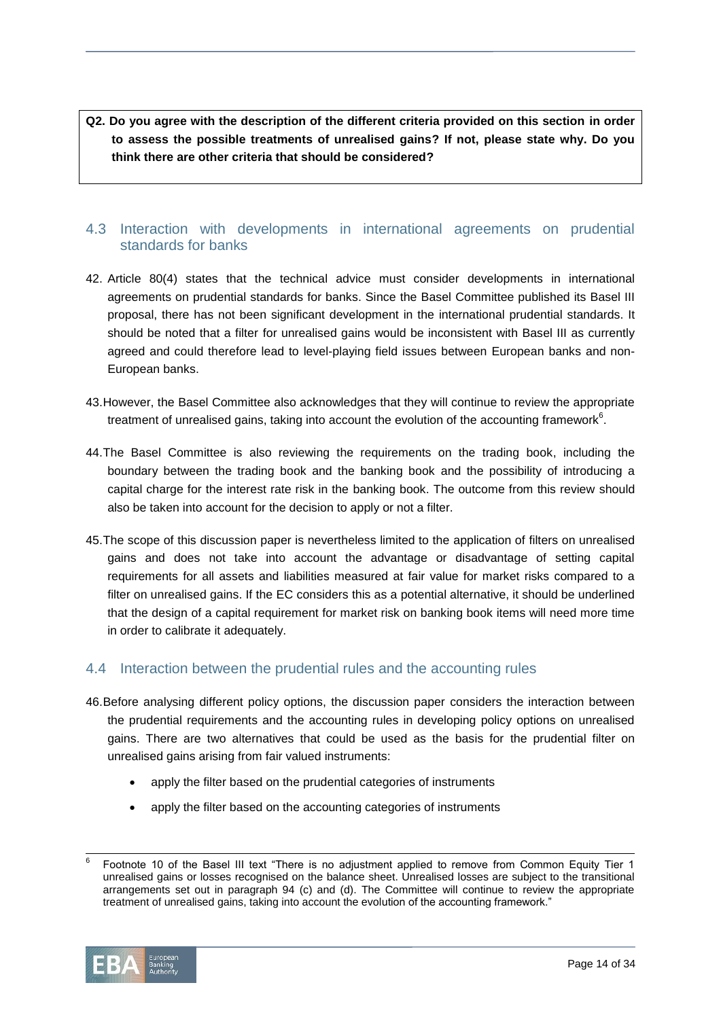**Q2. Do you agree with the description of the different criteria provided on this section in order to assess the possible treatments of unrealised gains? If not, please state why. Do you think there are other criteria that should be considered?**

# 4.3 Interaction with developments in international agreements on prudential standards for banks

- 42. Article 80(4) states that the technical advice must consider developments in international agreements on prudential standards for banks. Since the Basel Committee published its Basel III proposal, there has not been significant development in the international prudential standards. It should be noted that a filter for unrealised gains would be inconsistent with Basel III as currently agreed and could therefore lead to level-playing field issues between European banks and non-European banks.
- 43.However, the Basel Committee also acknowledges that they will continue to review the appropriate treatment of unrealised gains, taking into account the evolution of the accounting framework $6$ .
- 44.The Basel Committee is also reviewing the requirements on the trading book, including the boundary between the trading book and the banking book and the possibility of introducing a capital charge for the interest rate risk in the banking book. The outcome from this review should also be taken into account for the decision to apply or not a filter.
- 45.The scope of this discussion paper is nevertheless limited to the application of filters on unrealised gains and does not take into account the advantage or disadvantage of setting capital requirements for all assets and liabilities measured at fair value for market risks compared to a filter on unrealised gains. If the EC considers this as a potential alternative, it should be underlined that the design of a capital requirement for market risk on banking book items will need more time in order to calibrate it adequately.

# 4.4 Interaction between the prudential rules and the accounting rules

- 46.Before analysing different policy options, the discussion paper considers the interaction between the prudential requirements and the accounting rules in developing policy options on unrealised gains. There are two alternatives that could be used as the basis for the prudential filter on unrealised gains arising from fair valued instruments:
	- apply the filter based on the prudential categories of instruments
	- apply the filter based on the accounting categories of instruments

l 6 Footnote 10 of the Basel III text "There is no adjustment applied to remove from Common Equity Tier 1 unrealised gains or losses recognised on the balance sheet. Unrealised losses are subject to the transitional arrangements set out in paragraph 94 (c) and (d). The Committee will continue to review the appropriate treatment of unrealised gains, taking into account the evolution of the accounting framework."

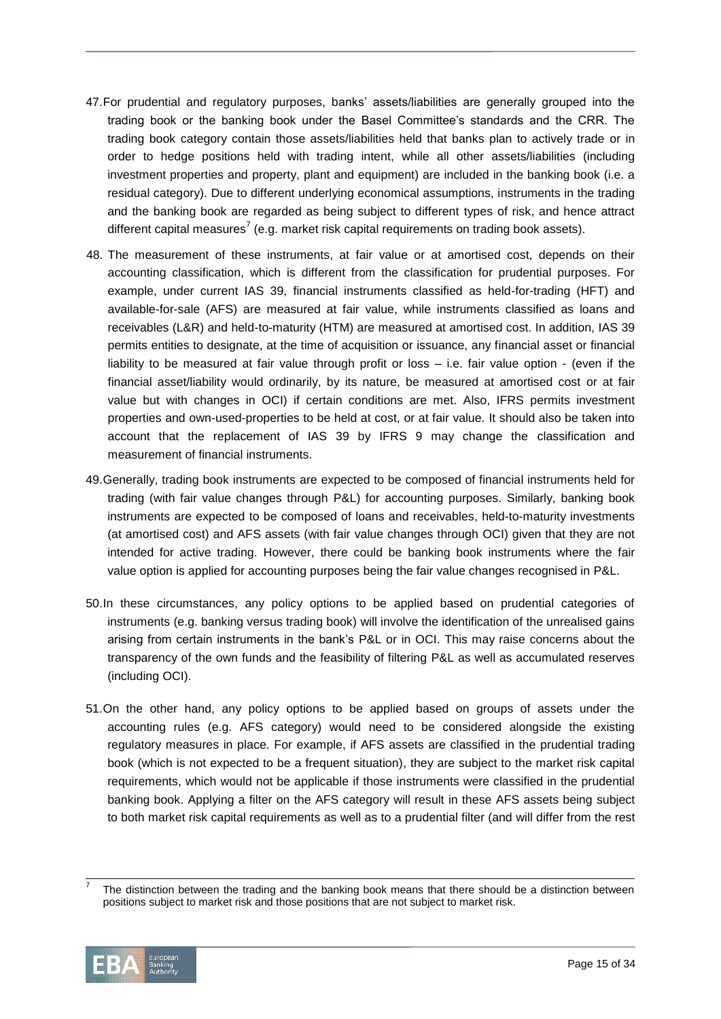- 47.For prudential and regulatory purposes, banks' assets/liabilities are generally grouped into the trading book or the banking book under the Basel Committee's standards and the CRR. The trading book category contain those assets/liabilities held that banks plan to actively trade or in order to hedge positions held with trading intent, while all other assets/liabilities (including investment properties and property, plant and equipment) are included in the banking book (i.e. a residual category). Due to different underlying economical assumptions, instruments in the trading and the banking book are regarded as being subject to different types of risk, and hence attract different capital measures<sup>7</sup> (e.g. market risk capital requirements on trading book assets).
- 48. The measurement of these instruments, at fair value or at amortised cost, depends on their accounting classification, which is different from the classification for prudential purposes. For example, under current IAS 39, financial instruments classified as held-for-trading (HFT) and available-for-sale (AFS) are measured at fair value, while instruments classified as loans and receivables (L&R) and held-to-maturity (HTM) are measured at amortised cost. In addition, IAS 39 permits entities to designate, at the time of acquisition or issuance, any financial asset or financial liability to be measured at fair value through profit or loss – i.e. fair value option - (even if the financial asset/liability would ordinarily, by its nature, be measured at amortised cost or at fair value but with changes in OCI) if certain conditions are met. Also, IFRS permits investment properties and own-used-properties to be held at cost, or at fair value. It should also be taken into account that the replacement of IAS 39 by IFRS 9 may change the classification and measurement of financial instruments.
- 49.Generally, trading book instruments are expected to be composed of financial instruments held for trading (with fair value changes through P&L) for accounting purposes. Similarly, banking book instruments are expected to be composed of loans and receivables, held-to-maturity investments (at amortised cost) and AFS assets (with fair value changes through OCI) given that they are not intended for active trading. However, there could be banking book instruments where the fair value option is applied for accounting purposes being the fair value changes recognised in P&L.
- 50.In these circumstances, any policy options to be applied based on prudential categories of instruments (e.g. banking versus trading book) will involve the identification of the unrealised gains arising from certain instruments in the bank's P&L or in OCI. This may raise concerns about the transparency of the own funds and the feasibility of filtering P&L as well as accumulated reserves (including OCI).
- 51.On the other hand, any policy options to be applied based on groups of assets under the accounting rules (e.g. AFS category) would need to be considered alongside the existing regulatory measures in place. For example, if AFS assets are classified in the prudential trading book (which is not expected to be a frequent situation), they are subject to the market risk capital requirements, which would not be applicable if those instruments were classified in the prudential banking book. Applying a filter on the AFS category will result in these AFS assets being subject to both market risk capital requirements as well as to a prudential filter (and will differ from the rest

<sup>7</sup> The distinction between the trading and the banking book means that there should be a distinction between positions subject to market risk and those positions that are not subject to market risk.



 $\overline{a}$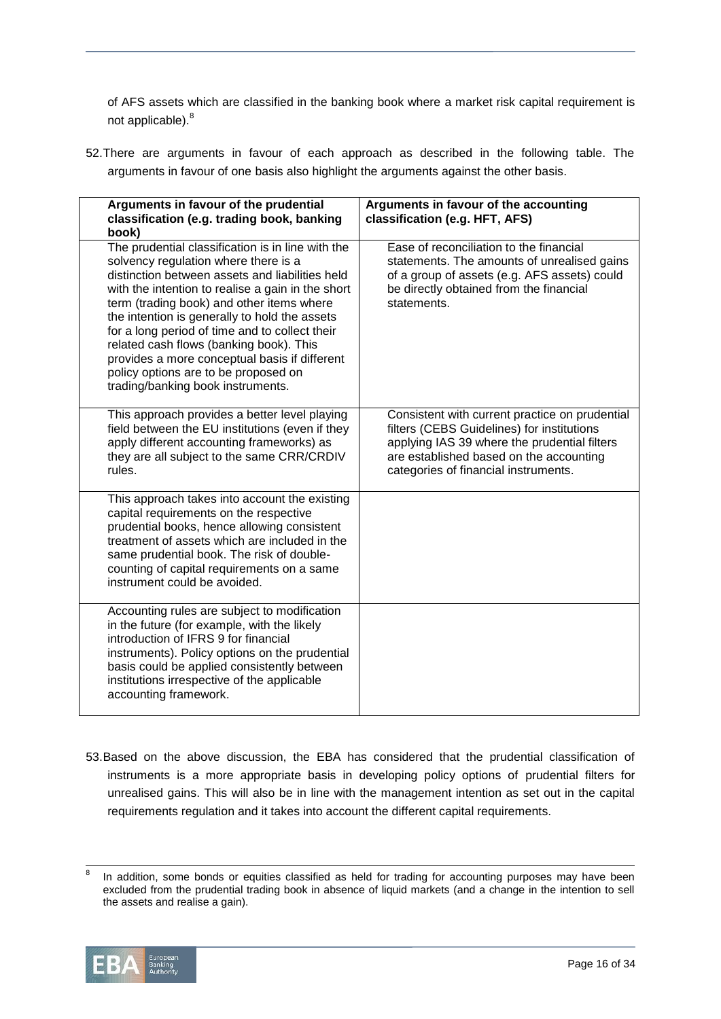of AFS assets which are classified in the banking book where a market risk capital requirement is not applicable).<sup>8</sup>

52.There are arguments in favour of each approach as described in the following table. The arguments in favour of one basis also highlight the arguments against the other basis.

| Arguments in favour of the prudential<br>classification (e.g. trading book, banking<br>book)                                                                                                                                                                                                                                                                                                                                                                                                                               | Arguments in favour of the accounting<br>classification (e.g. HFT, AFS)                                                                                                                                                         |
|----------------------------------------------------------------------------------------------------------------------------------------------------------------------------------------------------------------------------------------------------------------------------------------------------------------------------------------------------------------------------------------------------------------------------------------------------------------------------------------------------------------------------|---------------------------------------------------------------------------------------------------------------------------------------------------------------------------------------------------------------------------------|
| The prudential classification is in line with the<br>solvency regulation where there is a<br>distinction between assets and liabilities held<br>with the intention to realise a gain in the short<br>term (trading book) and other items where<br>the intention is generally to hold the assets<br>for a long period of time and to collect their<br>related cash flows (banking book). This<br>provides a more conceptual basis if different<br>policy options are to be proposed on<br>trading/banking book instruments. | Ease of reconciliation to the financial<br>statements. The amounts of unrealised gains<br>of a group of assets (e.g. AFS assets) could<br>be directly obtained from the financial<br>statements.                                |
| This approach provides a better level playing<br>field between the EU institutions (even if they<br>apply different accounting frameworks) as<br>they are all subject to the same CRR/CRDIV<br>rules.                                                                                                                                                                                                                                                                                                                      | Consistent with current practice on prudential<br>filters (CEBS Guidelines) for institutions<br>applying IAS 39 where the prudential filters<br>are established based on the accounting<br>categories of financial instruments. |
| This approach takes into account the existing<br>capital requirements on the respective<br>prudential books, hence allowing consistent<br>treatment of assets which are included in the<br>same prudential book. The risk of double-<br>counting of capital requirements on a same<br>instrument could be avoided.                                                                                                                                                                                                         |                                                                                                                                                                                                                                 |
| Accounting rules are subject to modification<br>in the future (for example, with the likely<br>introduction of IFRS 9 for financial<br>instruments). Policy options on the prudential<br>basis could be applied consistently between<br>institutions irrespective of the applicable<br>accounting framework.                                                                                                                                                                                                               |                                                                                                                                                                                                                                 |

53.Based on the above discussion, the EBA has considered that the prudential classification of instruments is a more appropriate basis in developing policy options of prudential filters for unrealised gains. This will also be in line with the management intention as set out in the capital requirements regulation and it takes into account the different capital requirements.

<sup>8</sup> In addition, some bonds or equities classified as held for trading for accounting purposes may have been excluded from the prudential trading book in absence of liquid markets (and a change in the intention to sell the assets and realise a gain).



l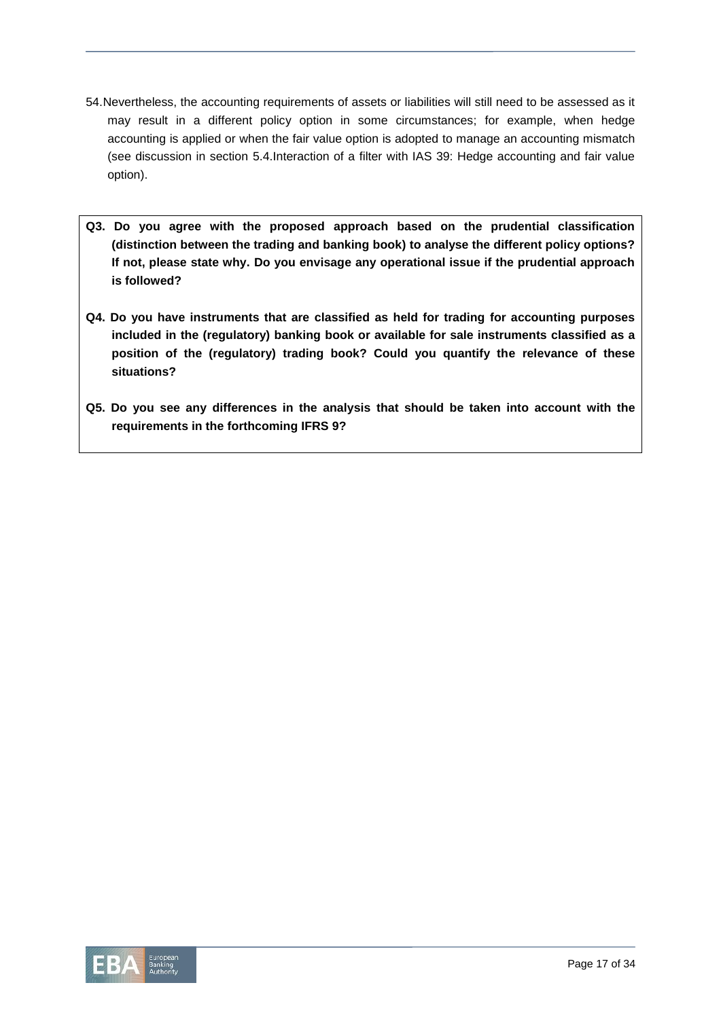- 54.Nevertheless, the accounting requirements of assets or liabilities will still need to be assessed as it may result in a different policy option in some circumstances; for example, when hedge accounting is applied or when the fair value option is adopted to manage an accounting mismatch (see discussion in section 5.4.Interaction of a filter with IAS 39: Hedge accounting and fair value option).
- **Q3. Do you agree with the proposed approach based on the prudential classification (distinction between the trading and banking book) to analyse the different policy options? If not, please state why. Do you envisage any operational issue if the prudential approach is followed?**
- **Q4. Do you have instruments that are classified as held for trading for accounting purposes included in the (regulatory) banking book or available for sale instruments classified as a position of the (regulatory) trading book? Could you quantify the relevance of these situations?**
- **Q5. Do you see any differences in the analysis that should be taken into account with the requirements in the forthcoming IFRS 9?**

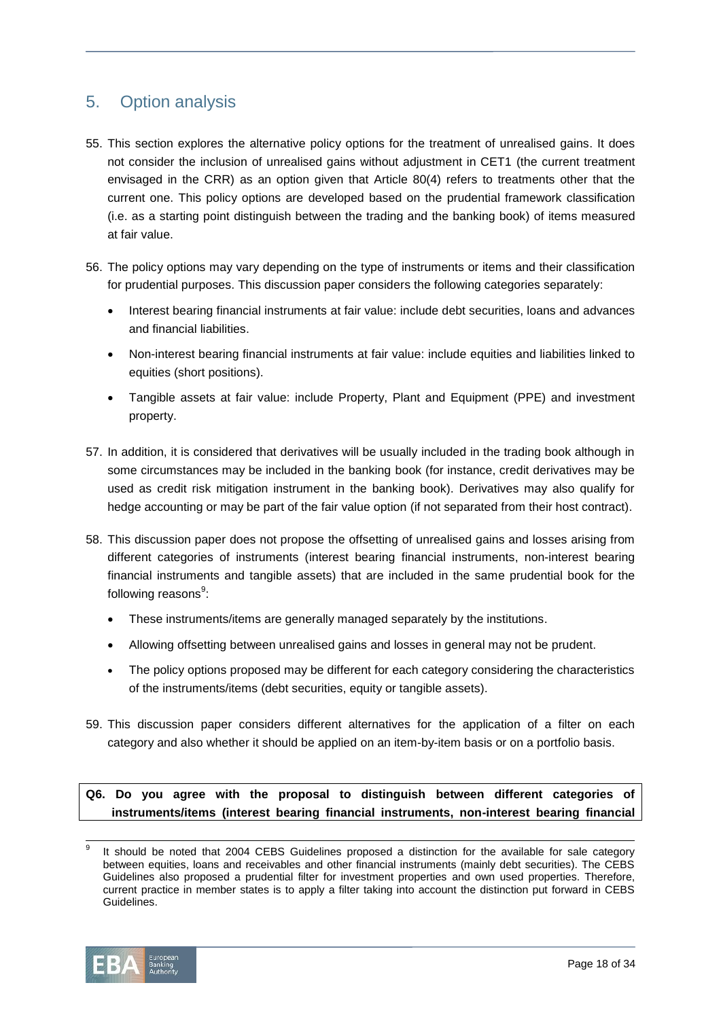# 5. Option analysis

- 55. This section explores the alternative policy options for the treatment of unrealised gains. It does not consider the inclusion of unrealised gains without adjustment in CET1 (the current treatment envisaged in the CRR) as an option given that Article 80(4) refers to treatments other that the current one. This policy options are developed based on the prudential framework classification (i.e. as a starting point distinguish between the trading and the banking book) of items measured at fair value.
- 56. The policy options may vary depending on the type of instruments or items and their classification for prudential purposes. This discussion paper considers the following categories separately:
	- Interest bearing financial instruments at fair value: include debt securities, loans and advances and financial liabilities.
	- Non-interest bearing financial instruments at fair value: include equities and liabilities linked to equities (short positions).
	- Tangible assets at fair value: include Property, Plant and Equipment (PPE) and investment property.
- 57. In addition, it is considered that derivatives will be usually included in the trading book although in some circumstances may be included in the banking book (for instance, credit derivatives may be used as credit risk mitigation instrument in the banking book). Derivatives may also qualify for hedge accounting or may be part of the fair value option (if not separated from their host contract).
- 58. This discussion paper does not propose the offsetting of unrealised gains and losses arising from different categories of instruments (interest bearing financial instruments, non-interest bearing financial instruments and tangible assets) that are included in the same prudential book for the following reasons<sup>9</sup>:
	- These instruments/items are generally managed separately by the institutions.
	- Allowing offsetting between unrealised gains and losses in general may not be prudent.
	- The policy options proposed may be different for each category considering the characteristics of the instruments/items (debt securities, equity or tangible assets).
- 59. This discussion paper considers different alternatives for the application of a filter on each category and also whether it should be applied on an item-by-item basis or on a portfolio basis.

# **Q6. Do you agree with the proposal to distinguish between different categories of instruments/items (interest bearing financial instruments, non-interest bearing financial**

l 9 It should be noted that 2004 CEBS Guidelines proposed a distinction for the available for sale category between equities, loans and receivables and other financial instruments (mainly debt securities). The CEBS Guidelines also proposed a prudential filter for investment properties and own used properties. Therefore, current practice in member states is to apply a filter taking into account the distinction put forward in CEBS Guidelines.

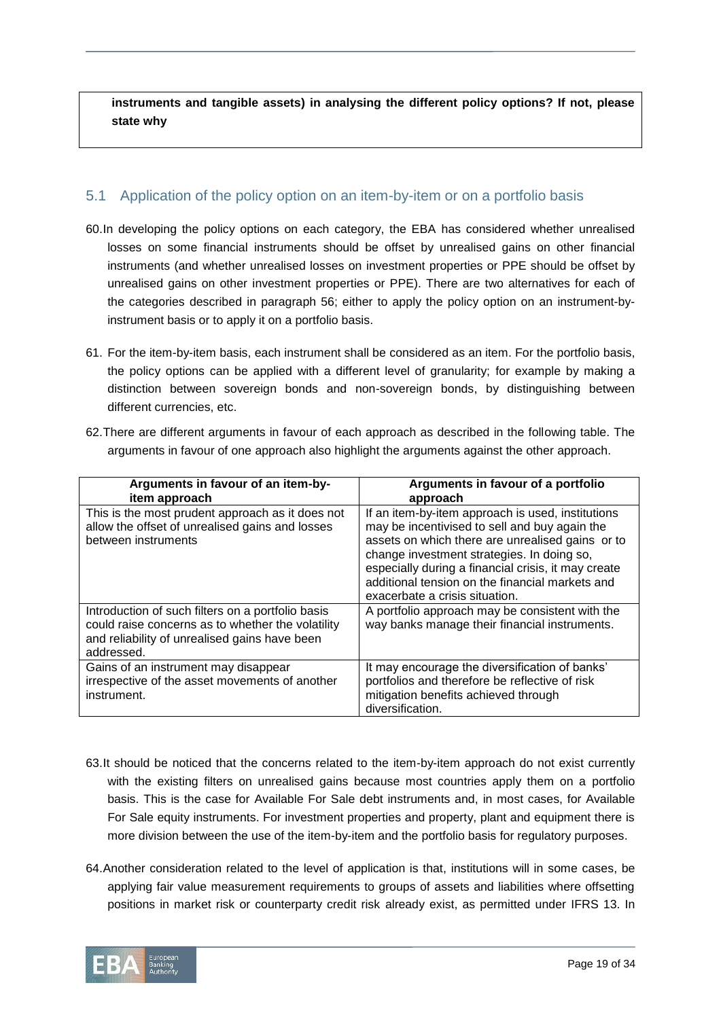**instruments and tangible assets) in analysing the different policy options? If not, please state why**

# 5.1 Application of the policy option on an item-by-item or on a portfolio basis

- 60.In developing the policy options on each category, the EBA has considered whether unrealised losses on some financial instruments should be offset by unrealised gains on other financial instruments (and whether unrealised losses on investment properties or PPE should be offset by unrealised gains on other investment properties or PPE). There are two alternatives for each of the categories described in paragraph 56; either to apply the policy option on an instrument-byinstrument basis or to apply it on a portfolio basis.
- 61. For the item-by-item basis, each instrument shall be considered as an item. For the portfolio basis, the policy options can be applied with a different level of granularity; for example by making a distinction between sovereign bonds and non-sovereign bonds, by distinguishing between different currencies, etc.
- 62.There are different arguments in favour of each approach as described in the following table. The arguments in favour of one approach also highlight the arguments against the other approach.

| Arguments in favour of an item-by-<br>item approach                                                                                                                   | Arguments in favour of a portfolio<br>approach                                                                                                                                                                                                                                                                                                   |
|-----------------------------------------------------------------------------------------------------------------------------------------------------------------------|--------------------------------------------------------------------------------------------------------------------------------------------------------------------------------------------------------------------------------------------------------------------------------------------------------------------------------------------------|
| This is the most prudent approach as it does not<br>allow the offset of unrealised gains and losses<br>between instruments                                            | If an item-by-item approach is used, institutions<br>may be incentivised to sell and buy again the<br>assets on which there are unrealised gains or to<br>change investment strategies. In doing so,<br>especially during a financial crisis, it may create<br>additional tension on the financial markets and<br>exacerbate a crisis situation. |
| Introduction of such filters on a portfolio basis<br>could raise concerns as to whether the volatility<br>and reliability of unrealised gains have been<br>addressed. | A portfolio approach may be consistent with the<br>way banks manage their financial instruments.                                                                                                                                                                                                                                                 |
| Gains of an instrument may disappear<br>irrespective of the asset movements of another<br>instrument.                                                                 | It may encourage the diversification of banks'<br>portfolios and therefore be reflective of risk<br>mitigation benefits achieved through<br>diversification.                                                                                                                                                                                     |

- 63.It should be noticed that the concerns related to the item-by-item approach do not exist currently with the existing filters on unrealised gains because most countries apply them on a portfolio basis. This is the case for Available For Sale debt instruments and, in most cases, for Available For Sale equity instruments. For investment properties and property, plant and equipment there is more division between the use of the item-by-item and the portfolio basis for regulatory purposes.
- 64.Another consideration related to the level of application is that, institutions will in some cases, be applying fair value measurement requirements to groups of assets and liabilities where offsetting positions in market risk or counterparty credit risk already exist, as permitted under IFRS 13. In

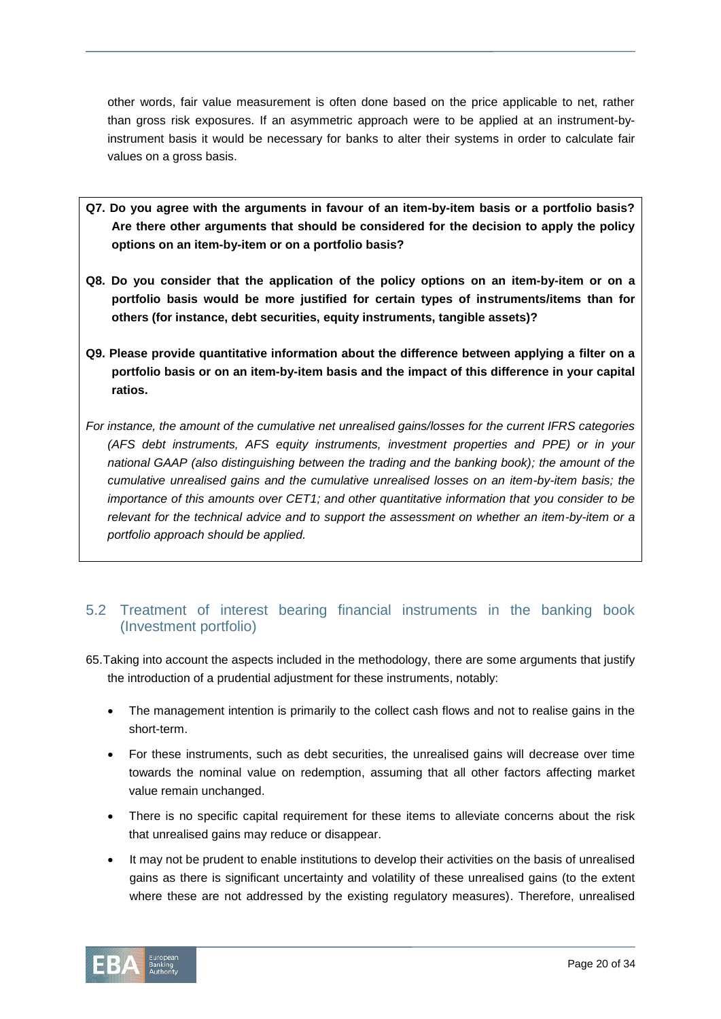other words, fair value measurement is often done based on the price applicable to net, rather than gross risk exposures. If an asymmetric approach were to be applied at an instrument-byinstrument basis it would be necessary for banks to alter their systems in order to calculate fair values on a gross basis.

- **Q7. Do you agree with the arguments in favour of an item-by-item basis or a portfolio basis? Are there other arguments that should be considered for the decision to apply the policy options on an item-by-item or on a portfolio basis?**
- **Q8. Do you consider that the application of the policy options on an item-by-item or on a portfolio basis would be more justified for certain types of instruments/items than for others (for instance, debt securities, equity instruments, tangible assets)?**
- **Q9. Please provide quantitative information about the difference between applying a filter on a portfolio basis or on an item-by-item basis and the impact of this difference in your capital ratios.**
- *For instance, the amount of the cumulative net unrealised gains/losses for the current IFRS categories (AFS debt instruments, AFS equity instruments, investment properties and PPE) or in your national GAAP (also distinguishing between the trading and the banking book); the amount of the cumulative unrealised gains and the cumulative unrealised losses on an item-by-item basis; the importance of this amounts over CET1; and other quantitative information that you consider to be relevant for the technical advice and to support the assessment on whether an item-by-item or a portfolio approach should be applied.*

# 5.2 Treatment of interest bearing financial instruments in the banking book (Investment portfolio)

- 65.Taking into account the aspects included in the methodology, there are some arguments that justify the introduction of a prudential adjustment for these instruments, notably:
	- The management intention is primarily to the collect cash flows and not to realise gains in the short-term.
	- For these instruments, such as debt securities, the unrealised gains will decrease over time towards the nominal value on redemption, assuming that all other factors affecting market value remain unchanged.
	- There is no specific capital requirement for these items to alleviate concerns about the risk that unrealised gains may reduce or disappear.
	- It may not be prudent to enable institutions to develop their activities on the basis of unrealised gains as there is significant uncertainty and volatility of these unrealised gains (to the extent where these are not addressed by the existing regulatory measures). Therefore, unrealised

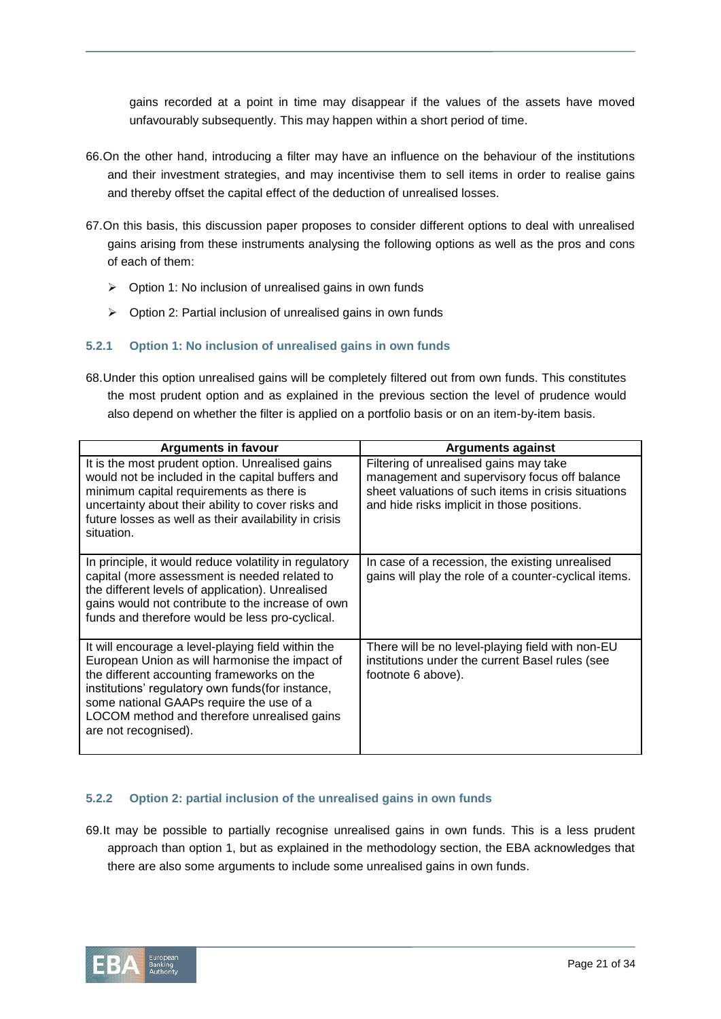gains recorded at a point in time may disappear if the values of the assets have moved unfavourably subsequently. This may happen within a short period of time.

- 66.On the other hand, introducing a filter may have an influence on the behaviour of the institutions and their investment strategies, and may incentivise them to sell items in order to realise gains and thereby offset the capital effect of the deduction of unrealised losses.
- 67.On this basis, this discussion paper proposes to consider different options to deal with unrealised gains arising from these instruments analysing the following options as well as the pros and cons of each of them:
	- $\triangleright$  Option 1: No inclusion of unrealised gains in own funds
	- $\triangleright$  Option 2: Partial inclusion of unrealised gains in own funds

#### **5.2.1 Option 1: No inclusion of unrealised gains in own funds**

68.Under this option unrealised gains will be completely filtered out from own funds. This constitutes the most prudent option and as explained in the previous section the level of prudence would also depend on whether the filter is applied on a portfolio basis or on an item-by-item basis.

| Arguments in favour                                                                                                                                                                                                                                                                                                        | Arguments against                                                                                                                                                                            |
|----------------------------------------------------------------------------------------------------------------------------------------------------------------------------------------------------------------------------------------------------------------------------------------------------------------------------|----------------------------------------------------------------------------------------------------------------------------------------------------------------------------------------------|
| It is the most prudent option. Unrealised gains<br>would not be included in the capital buffers and<br>minimum capital requirements as there is<br>uncertainty about their ability to cover risks and<br>future losses as well as their availability in crisis<br>situation.                                               | Filtering of unrealised gains may take<br>management and supervisory focus off balance<br>sheet valuations of such items in crisis situations<br>and hide risks implicit in those positions. |
| In principle, it would reduce volatility in regulatory<br>capital (more assessment is needed related to<br>the different levels of application). Unrealised<br>gains would not contribute to the increase of own<br>funds and therefore would be less pro-cyclical.                                                        | In case of a recession, the existing unrealised<br>gains will play the role of a counter-cyclical items.                                                                                     |
| It will encourage a level-playing field within the<br>European Union as will harmonise the impact of<br>the different accounting frameworks on the<br>institutions' regulatory own funds (for instance,<br>some national GAAPs require the use of a<br>LOCOM method and therefore unrealised gains<br>are not recognised). | There will be no level-playing field with non-EU<br>institutions under the current Basel rules (see<br>footnote 6 above).                                                                    |

# **5.2.2 Option 2: partial inclusion of the unrealised gains in own funds**

69.It may be possible to partially recognise unrealised gains in own funds. This is a less prudent approach than option 1, but as explained in the methodology section, the EBA acknowledges that there are also some arguments to include some unrealised gains in own funds.

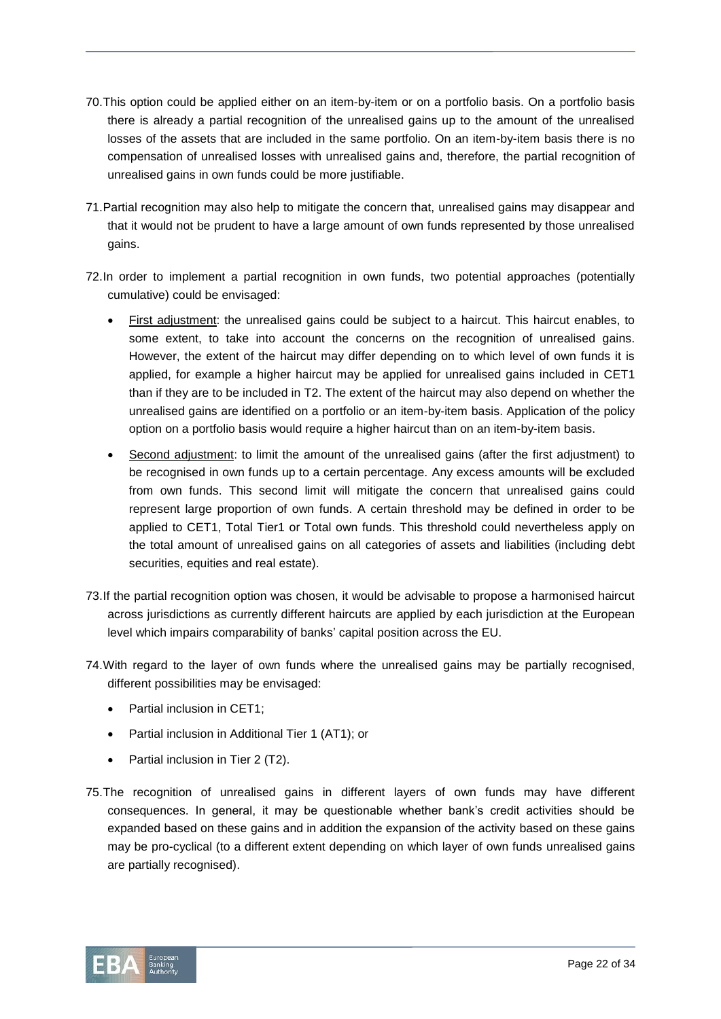- 70.This option could be applied either on an item-by-item or on a portfolio basis. On a portfolio basis there is already a partial recognition of the unrealised gains up to the amount of the unrealised losses of the assets that are included in the same portfolio. On an item-by-item basis there is no compensation of unrealised losses with unrealised gains and, therefore, the partial recognition of unrealised gains in own funds could be more justifiable.
- 71.Partial recognition may also help to mitigate the concern that, unrealised gains may disappear and that it would not be prudent to have a large amount of own funds represented by those unrealised gains.
- 72.In order to implement a partial recognition in own funds, two potential approaches (potentially cumulative) could be envisaged:
	- First adjustment: the unrealised gains could be subject to a haircut. This haircut enables, to some extent, to take into account the concerns on the recognition of unrealised gains. However, the extent of the haircut may differ depending on to which level of own funds it is applied, for example a higher haircut may be applied for unrealised gains included in CET1 than if they are to be included in T2. The extent of the haircut may also depend on whether the unrealised gains are identified on a portfolio or an item-by-item basis. Application of the policy option on a portfolio basis would require a higher haircut than on an item-by-item basis.
	- Second adjustment: to limit the amount of the unrealised gains (after the first adjustment) to be recognised in own funds up to a certain percentage. Any excess amounts will be excluded from own funds. This second limit will mitigate the concern that unrealised gains could represent large proportion of own funds. A certain threshold may be defined in order to be applied to CET1, Total Tier1 or Total own funds. This threshold could nevertheless apply on the total amount of unrealised gains on all categories of assets and liabilities (including debt securities, equities and real estate).
- 73.If the partial recognition option was chosen, it would be advisable to propose a harmonised haircut across jurisdictions as currently different haircuts are applied by each jurisdiction at the European level which impairs comparability of banks' capital position across the EU.
- 74.With regard to the layer of own funds where the unrealised gains may be partially recognised, different possibilities may be envisaged:
	- Partial inclusion in CET1;
	- Partial inclusion in Additional Tier 1 (AT1); or
	- Partial inclusion in Tier 2 (T2).
- 75.The recognition of unrealised gains in different layers of own funds may have different consequences. In general, it may be questionable whether bank's credit activities should be expanded based on these gains and in addition the expansion of the activity based on these gains may be pro-cyclical (to a different extent depending on which layer of own funds unrealised gains are partially recognised).

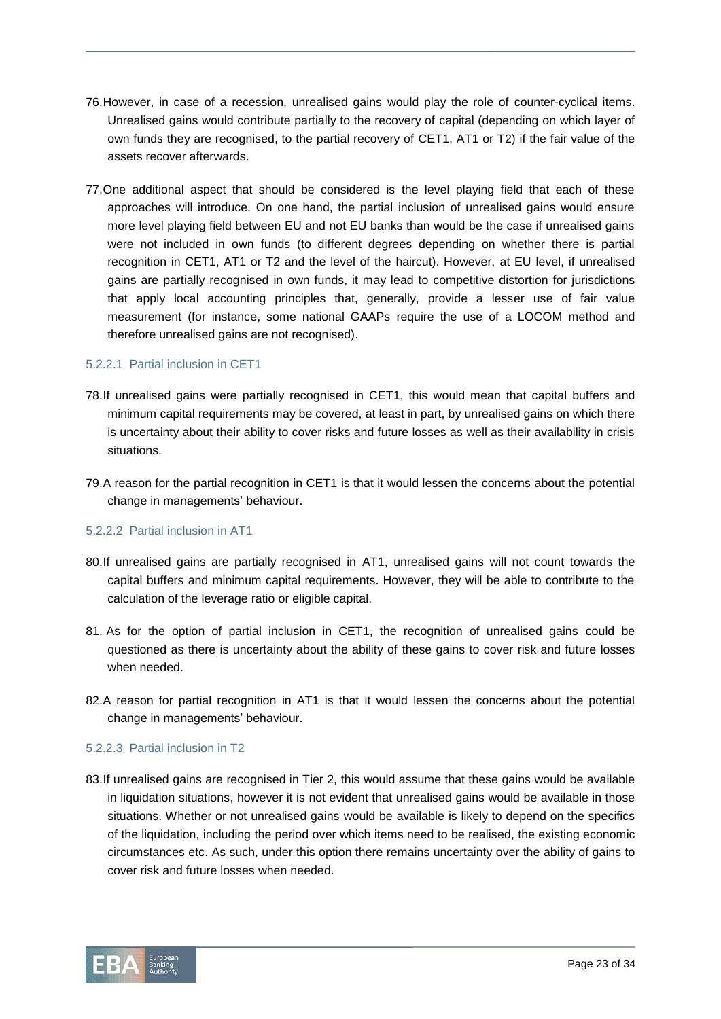- 76.However, in case of a recession, unrealised gains would play the role of counter-cyclical items. Unrealised gains would contribute partially to the recovery of capital (depending on which layer of own funds they are recognised, to the partial recovery of CET1, AT1 or T2) if the fair value of the assets recover afterwards.
- 77.One additional aspect that should be considered is the level playing field that each of these approaches will introduce. On one hand, the partial inclusion of unrealised gains would ensure more level playing field between EU and not EU banks than would be the case if unrealised gains were not included in own funds (to different degrees depending on whether there is partial recognition in CET1, AT1 or T2 and the level of the haircut). However, at EU level, if unrealised gains are partially recognised in own funds, it may lead to competitive distortion for jurisdictions that apply local accounting principles that, generally, provide a lesser use of fair value measurement (for instance, some national GAAPs require the use of a LOCOM method and therefore unrealised gains are not recognised).

# 5.2.2.1 Partial inclusion in CET1

- 78.If unrealised gains were partially recognised in CET1, this would mean that capital buffers and minimum capital requirements may be covered, at least in part, by unrealised gains on which there is uncertainty about their ability to cover risks and future losses as well as their availability in crisis situations.
- 79.A reason for the partial recognition in CET1 is that it would lessen the concerns about the potential change in managements' behaviour.

#### 5.2.2.2 Partial inclusion in AT1

- 80.If unrealised gains are partially recognised in AT1, unrealised gains will not count towards the capital buffers and minimum capital requirements. However, they will be able to contribute to the calculation of the leverage ratio or eligible capital.
- 81. As for the option of partial inclusion in CET1, the recognition of unrealised gains could be questioned as there is uncertainty about the ability of these gains to cover risk and future losses when needed.
- 82.A reason for partial recognition in AT1 is that it would lessen the concerns about the potential change in managements' behaviour.

# 5.2.2.3 Partial inclusion in T2

83.If unrealised gains are recognised in Tier 2, this would assume that these gains would be available in liquidation situations, however it is not evident that unrealised gains would be available in those situations. Whether or not unrealised gains would be available is likely to depend on the specifics of the liquidation, including the period over which items need to be realised, the existing economic circumstances etc. As such, under this option there remains uncertainty over the ability of gains to cover risk and future losses when needed.

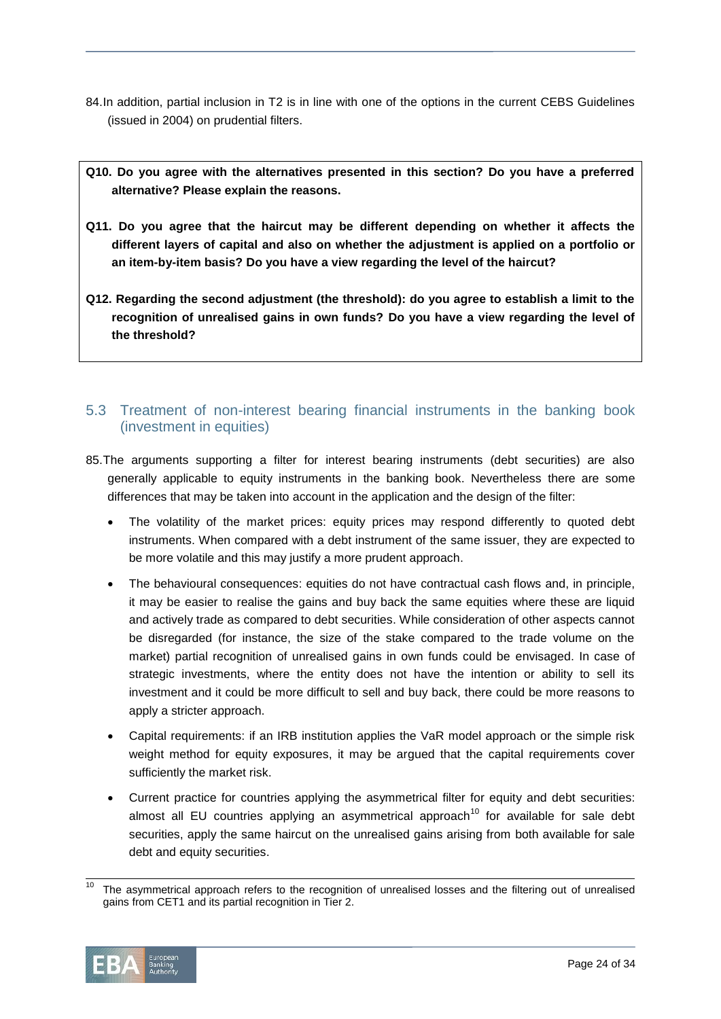- 84.In addition, partial inclusion in T2 is in line with one of the options in the current CEBS Guidelines (issued in 2004) on prudential filters.
- **Q10. Do you agree with the alternatives presented in this section? Do you have a preferred alternative? Please explain the reasons.**
- **Q11. Do you agree that the haircut may be different depending on whether it affects the different layers of capital and also on whether the adjustment is applied on a portfolio or an item-by-item basis? Do you have a view regarding the level of the haircut?**
- **Q12. Regarding the second adjustment (the threshold): do you agree to establish a limit to the recognition of unrealised gains in own funds? Do you have a view regarding the level of the threshold?**

# 5.3 Treatment of non-interest bearing financial instruments in the banking book (investment in equities)

- 85.The arguments supporting a filter for interest bearing instruments (debt securities) are also generally applicable to equity instruments in the banking book. Nevertheless there are some differences that may be taken into account in the application and the design of the filter:
	- The volatility of the market prices: equity prices may respond differently to quoted debt instruments. When compared with a debt instrument of the same issuer, they are expected to be more volatile and this may justify a more prudent approach.
	- The behavioural consequences: equities do not have contractual cash flows and, in principle, it may be easier to realise the gains and buy back the same equities where these are liquid and actively trade as compared to debt securities. While consideration of other aspects cannot be disregarded (for instance, the size of the stake compared to the trade volume on the market) partial recognition of unrealised gains in own funds could be envisaged. In case of strategic investments, where the entity does not have the intention or ability to sell its investment and it could be more difficult to sell and buy back, there could be more reasons to apply a stricter approach.
	- Capital requirements: if an IRB institution applies the VaR model approach or the simple risk weight method for equity exposures, it may be argued that the capital requirements cover sufficiently the market risk.
	- Current practice for countries applying the asymmetrical filter for equity and debt securities: almost all EU countries applying an asymmetrical approach<sup>10</sup> for available for sale debt securities, apply the same haircut on the unrealised gains arising from both available for sale debt and equity securities.

 $\frac{1}{10}$ The asymmetrical approach refers to the recognition of unrealised losses and the filtering out of unrealised gains from CET1 and its partial recognition in Tier 2.

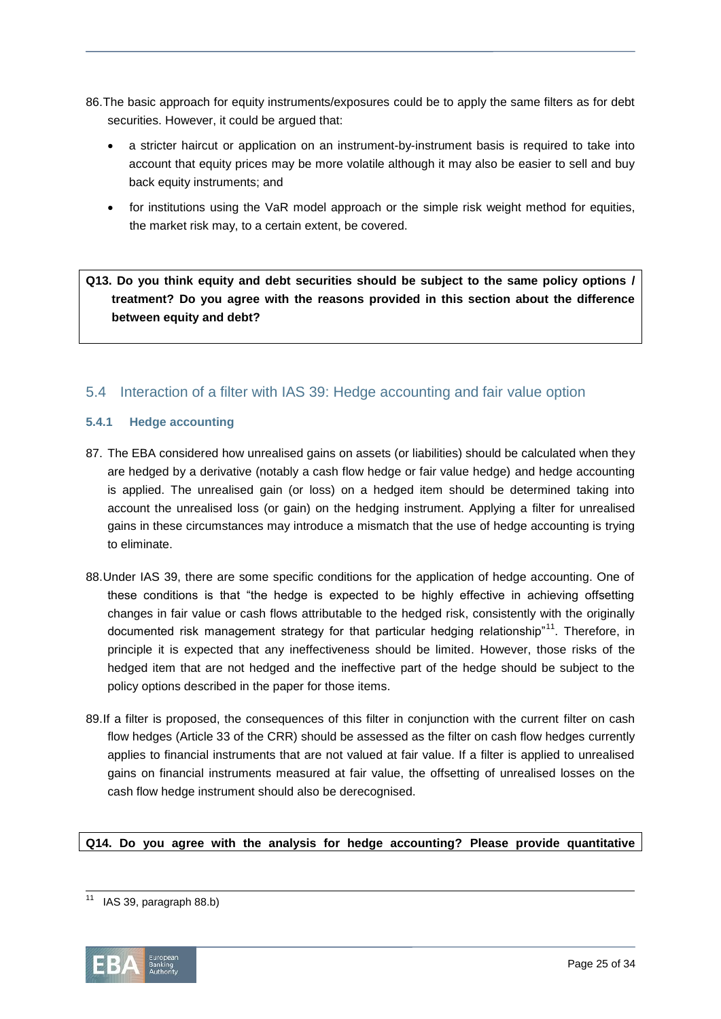- 86.The basic approach for equity instruments/exposures could be to apply the same filters as for debt securities. However, it could be argued that:
	- a stricter haircut or application on an instrument-by-instrument basis is required to take into account that equity prices may be more volatile although it may also be easier to sell and buy back equity instruments; and
	- for institutions using the VaR model approach or the simple risk weight method for equities, the market risk may, to a certain extent, be covered.

**Q13. Do you think equity and debt securities should be subject to the same policy options / treatment? Do you agree with the reasons provided in this section about the difference between equity and debt?**

# 5.4 Interaction of a filter with IAS 39: Hedge accounting and fair value option

# **5.4.1 Hedge accounting**

- 87. The EBA considered how unrealised gains on assets (or liabilities) should be calculated when they are hedged by a derivative (notably a cash flow hedge or fair value hedge) and hedge accounting is applied. The unrealised gain (or loss) on a hedged item should be determined taking into account the unrealised loss (or gain) on the hedging instrument. Applying a filter for unrealised gains in these circumstances may introduce a mismatch that the use of hedge accounting is trying to eliminate.
- 88.Under IAS 39, there are some specific conditions for the application of hedge accounting. One of these conditions is that "the hedge is expected to be highly effective in achieving offsetting changes in fair value or cash flows attributable to the hedged risk, consistently with the originally documented risk management strategy for that particular hedging relationship<sup>"11</sup>. Therefore, in principle it is expected that any ineffectiveness should be limited. However, those risks of the hedged item that are not hedged and the ineffective part of the hedge should be subject to the policy options described in the paper for those items.
- 89.If a filter is proposed, the consequences of this filter in conjunction with the current filter on cash flow hedges (Article 33 of the CRR) should be assessed as the filter on cash flow hedges currently applies to financial instruments that are not valued at fair value. If a filter is applied to unrealised gains on financial instruments measured at fair value, the offsetting of unrealised losses on the cash flow hedge instrument should also be derecognised.

# **Q14. Do you agree with the analysis for hedge accounting? Please provide quantitative**

l  $11$  IAS 39, paragraph 88.b)

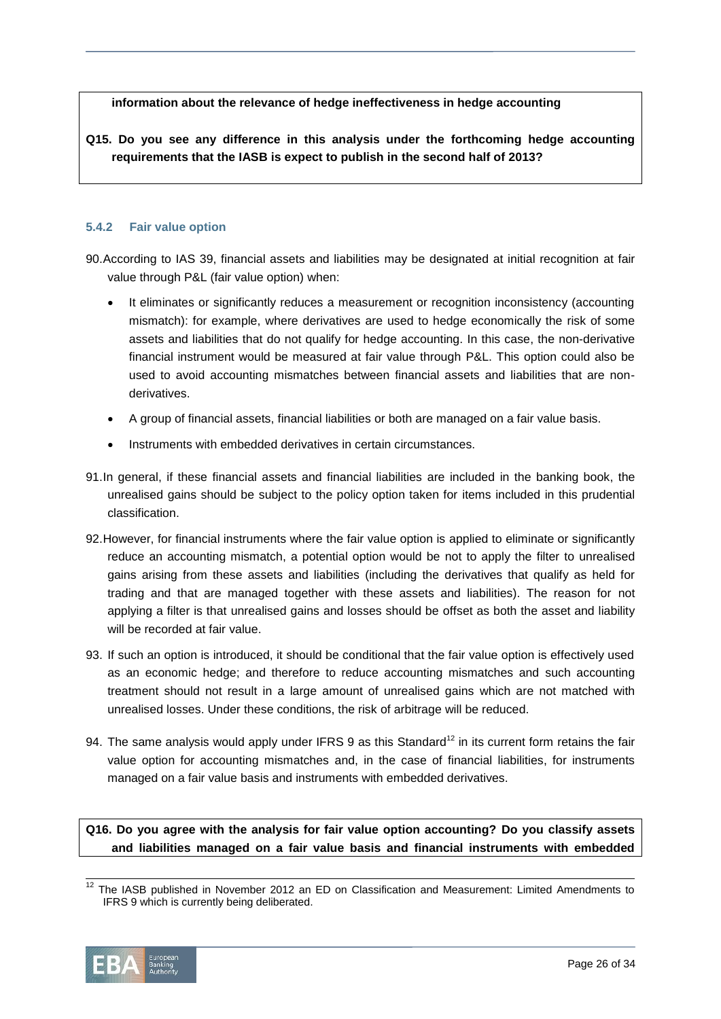**information about the relevance of hedge ineffectiveness in hedge accounting**

**Q15. Do you see any difference in this analysis under the forthcoming hedge accounting requirements that the IASB is expect to publish in the second half of 2013?**

#### **5.4.2 Fair value option**

90.According to IAS 39, financial assets and liabilities may be designated at initial recognition at fair value through P&L (fair value option) when:

- It eliminates or significantly reduces a measurement or recognition inconsistency (accounting mismatch): for example, where derivatives are used to hedge economically the risk of some assets and liabilities that do not qualify for hedge accounting. In this case, the non-derivative financial instrument would be measured at fair value through P&L. This option could also be used to avoid accounting mismatches between financial assets and liabilities that are nonderivatives.
- A group of financial assets, financial liabilities or both are managed on a fair value basis.
- Instruments with embedded derivatives in certain circumstances.
- 91.In general, if these financial assets and financial liabilities are included in the banking book, the unrealised gains should be subject to the policy option taken for items included in this prudential classification.
- 92.However, for financial instruments where the fair value option is applied to eliminate or significantly reduce an accounting mismatch, a potential option would be not to apply the filter to unrealised gains arising from these assets and liabilities (including the derivatives that qualify as held for trading and that are managed together with these assets and liabilities). The reason for not applying a filter is that unrealised gains and losses should be offset as both the asset and liability will be recorded at fair value.
- 93. If such an option is introduced, it should be conditional that the fair value option is effectively used as an economic hedge; and therefore to reduce accounting mismatches and such accounting treatment should not result in a large amount of unrealised gains which are not matched with unrealised losses. Under these conditions, the risk of arbitrage will be reduced.
- 94. The same analysis would apply under IFRS 9 as this Standard<sup>12</sup> in its current form retains the fair value option for accounting mismatches and, in the case of financial liabilities, for instruments managed on a fair value basis and instruments with embedded derivatives.

**Q16. Do you agree with the analysis for fair value option accounting? Do you classify assets and liabilities managed on a fair value basis and financial instruments with embedded** 

 $12$  The IASB published in November 2012 an ED on Classification and Measurement: Limited Amendments to IFRS 9 which is currently being deliberated.



 $\overline{a}$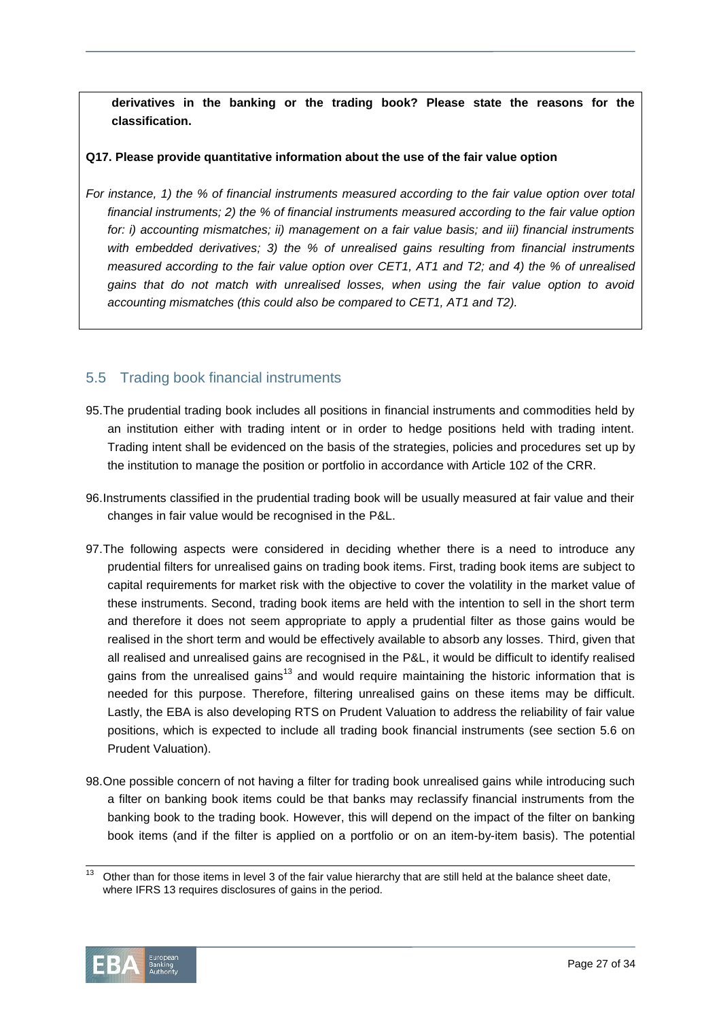**derivatives in the banking or the trading book? Please state the reasons for the classification.** 

#### **Q17. Please provide quantitative information about the use of the fair value option**

*For instance, 1) the % of financial instruments measured according to the fair value option over total financial instruments; 2) the % of financial instruments measured according to the fair value option for: i) accounting mismatches; ii) management on a fair value basis; and iii) financial instruments with embedded derivatives; 3) the % of unrealised gains resulting from financial instruments measured according to the fair value option over CET1, AT1 and T2; and 4) the % of unrealised gains that do not match with unrealised losses, when using the fair value option to avoid accounting mismatches (this could also be compared to CET1, AT1 and T2).*

# 5.5 Trading book financial instruments

- 95.The prudential trading book includes all positions in financial instruments and commodities held by an institution either with trading intent or in order to hedge positions held with trading intent. Trading intent shall be evidenced on the basis of the strategies, policies and procedures set up by the institution to manage the position or portfolio in accordance with Article 102 of the CRR.
- 96.Instruments classified in the prudential trading book will be usually measured at fair value and their changes in fair value would be recognised in the P&L.
- 97.The following aspects were considered in deciding whether there is a need to introduce any prudential filters for unrealised gains on trading book items. First, trading book items are subject to capital requirements for market risk with the objective to cover the volatility in the market value of these instruments. Second, trading book items are held with the intention to sell in the short term and therefore it does not seem appropriate to apply a prudential filter as those gains would be realised in the short term and would be effectively available to absorb any losses. Third, given that all realised and unrealised gains are recognised in the P&L, it would be difficult to identify realised gains from the unrealised gains<sup>13</sup> and would require maintaining the historic information that is needed for this purpose. Therefore, filtering unrealised gains on these items may be difficult. Lastly, the EBA is also developing RTS on Prudent Valuation to address the reliability of fair value positions, which is expected to include all trading book financial instruments (see section 5.6 on Prudent Valuation).
- 98.One possible concern of not having a filter for trading book unrealised gains while introducing such a filter on banking book items could be that banks may reclassify financial instruments from the banking book to the trading book. However, this will depend on the impact of the filter on banking book items (and if the filter is applied on a portfolio or on an item-by-item basis). The potential



 $\overline{13}$ Other than for those items in level 3 of the fair value hierarchy that are still held at the balance sheet date, where IFRS 13 requires disclosures of gains in the period.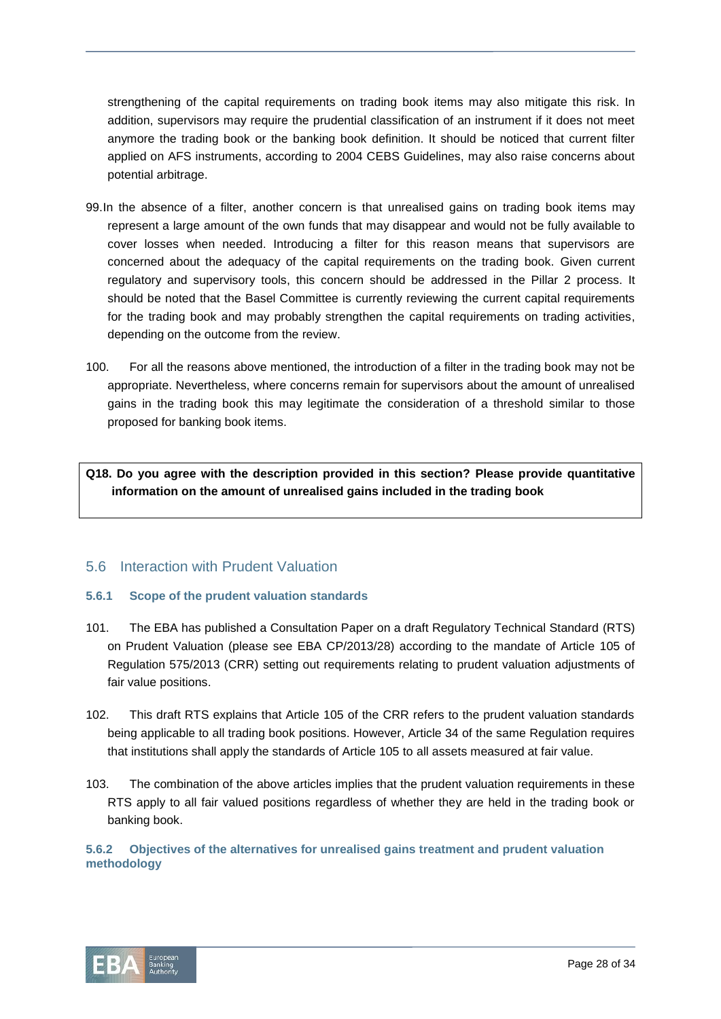strengthening of the capital requirements on trading book items may also mitigate this risk. In addition, supervisors may require the prudential classification of an instrument if it does not meet anymore the trading book or the banking book definition. It should be noticed that current filter applied on AFS instruments, according to 2004 CEBS Guidelines, may also raise concerns about potential arbitrage.

- 99.In the absence of a filter, another concern is that unrealised gains on trading book items may represent a large amount of the own funds that may disappear and would not be fully available to cover losses when needed. Introducing a filter for this reason means that supervisors are concerned about the adequacy of the capital requirements on the trading book. Given current regulatory and supervisory tools, this concern should be addressed in the Pillar 2 process. It should be noted that the Basel Committee is currently reviewing the current capital requirements for the trading book and may probably strengthen the capital requirements on trading activities, depending on the outcome from the review.
- 100. For all the reasons above mentioned, the introduction of a filter in the trading book may not be appropriate. Nevertheless, where concerns remain for supervisors about the amount of unrealised gains in the trading book this may legitimate the consideration of a threshold similar to those proposed for banking book items.

**Q18. Do you agree with the description provided in this section? Please provide quantitative information on the amount of unrealised gains included in the trading book**

# 5.6 Interaction with Prudent Valuation

# **5.6.1 Scope of the prudent valuation standards**

- 101. The EBA has published a Consultation Paper on a draft Regulatory Technical Standard (RTS) on Prudent Valuation (please see EBA CP/2013/28) according to the mandate of Article 105 of Regulation 575/2013 (CRR) setting out requirements relating to prudent valuation adjustments of fair value positions.
- 102. This draft RTS explains that Article 105 of the CRR refers to the prudent valuation standards being applicable to all trading book positions. However, Article 34 of the same Regulation requires that institutions shall apply the standards of Article 105 to all assets measured at fair value.
- 103. The combination of the above articles implies that the prudent valuation requirements in these RTS apply to all fair valued positions regardless of whether they are held in the trading book or banking book.

# **5.6.2 Objectives of the alternatives for unrealised gains treatment and prudent valuation methodology**

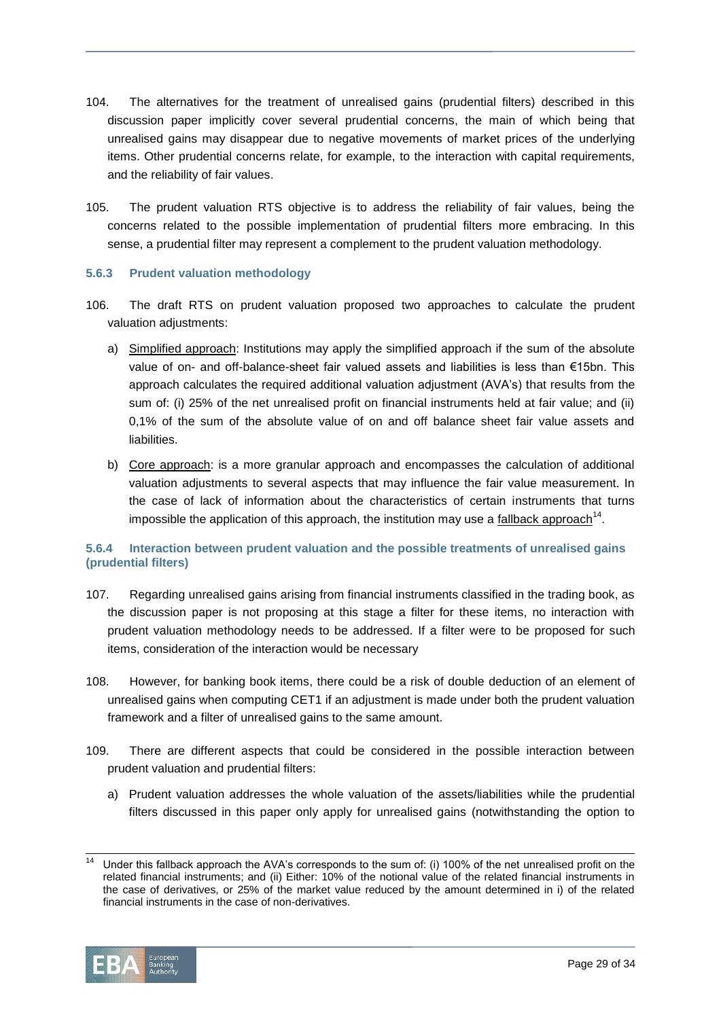- 104. The alternatives for the treatment of unrealised gains (prudential filters) described in this discussion paper implicitly cover several prudential concerns, the main of which being that unrealised gains may disappear due to negative movements of market prices of the underlying items. Other prudential concerns relate, for example, to the interaction with capital requirements, and the reliability of fair values.
- 105. The prudent valuation RTS objective is to address the reliability of fair values, being the concerns related to the possible implementation of prudential filters more embracing. In this sense, a prudential filter may represent a complement to the prudent valuation methodology.

# **5.6.3 Prudent valuation methodology**

- 106. The draft RTS on prudent valuation proposed two approaches to calculate the prudent valuation adjustments:
	- a) Simplified approach: Institutions may apply the simplified approach if the sum of the absolute value of on- and off-balance-sheet fair valued assets and liabilities is less than €15bn. This approach calculates the required additional valuation adjustment (AVA's) that results from the sum of: (i) 25% of the net unrealised profit on financial instruments held at fair value; and (ii) 0,1% of the sum of the absolute value of on and off balance sheet fair value assets and liabilities.
	- b) Core approach: is a more granular approach and encompasses the calculation of additional valuation adjustments to several aspects that may influence the fair value measurement. In the case of lack of information about the characteristics of certain instruments that turns impossible the application of this approach, the institution may use a  $\text{fallback approach}^{\text{14}}$ .

# **5.6.4 Interaction between prudent valuation and the possible treatments of unrealised gains (prudential filters)**

- 107. Regarding unrealised gains arising from financial instruments classified in the trading book, as the discussion paper is not proposing at this stage a filter for these items, no interaction with prudent valuation methodology needs to be addressed. If a filter were to be proposed for such items, consideration of the interaction would be necessary
- 108. However, for banking book items, there could be a risk of double deduction of an element of unrealised gains when computing CET1 if an adjustment is made under both the prudent valuation framework and a filter of unrealised gains to the same amount.
- 109. There are different aspects that could be considered in the possible interaction between prudent valuation and prudential filters:
	- a) Prudent valuation addresses the whole valuation of the assets/liabilities while the prudential filters discussed in this paper only apply for unrealised gains (notwithstanding the option to

l Under this fallback approach the AVA's corresponds to the sum of: (i) 100% of the net unrealised profit on the related financial instruments; and (ii) Either: 10% of the notional value of the related financial instruments in the case of derivatives, or 25% of the market value reduced by the amount determined in i) of the related financial instruments in the case of non-derivatives.

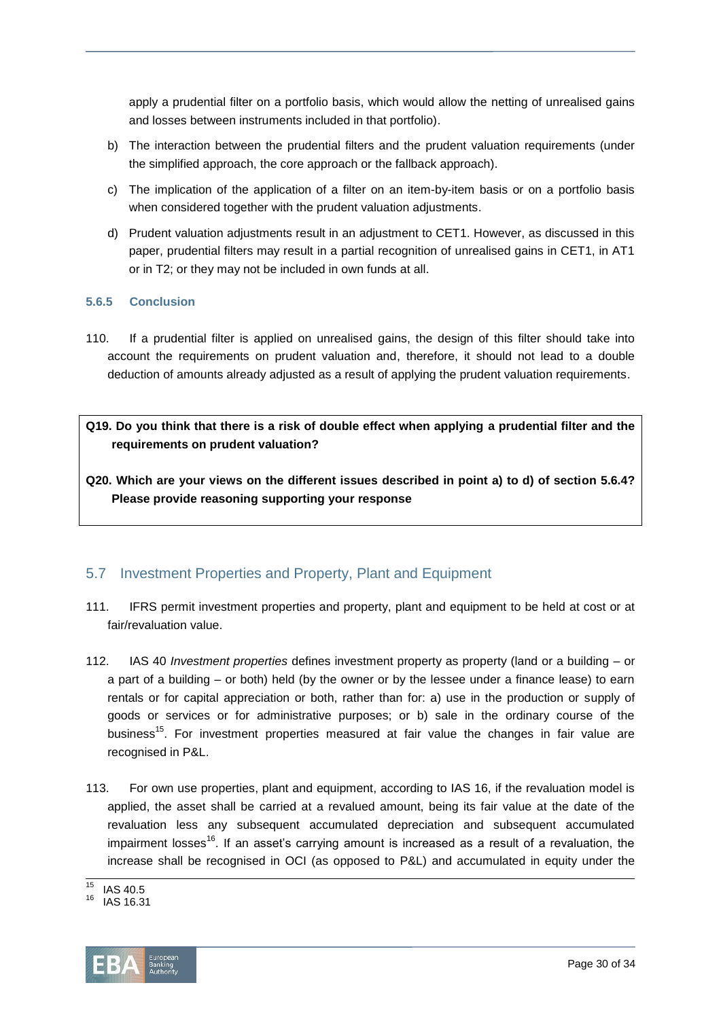apply a prudential filter on a portfolio basis, which would allow the netting of unrealised gains and losses between instruments included in that portfolio).

- b) The interaction between the prudential filters and the prudent valuation requirements (under the simplified approach, the core approach or the fallback approach).
- c) The implication of the application of a filter on an item-by-item basis or on a portfolio basis when considered together with the prudent valuation adjustments.
- d) Prudent valuation adjustments result in an adjustment to CET1. However, as discussed in this paper, prudential filters may result in a partial recognition of unrealised gains in CET1, in AT1 or in T2; or they may not be included in own funds at all.

# **5.6.5 Conclusion**

- 110. If a prudential filter is applied on unrealised gains, the design of this filter should take into account the requirements on prudent valuation and, therefore, it should not lead to a double deduction of amounts already adjusted as a result of applying the prudent valuation requirements.
- **Q19. Do you think that there is a risk of double effect when applying a prudential filter and the requirements on prudent valuation?**
- **Q20. Which are your views on the different issues described in point a) to d) of section 5.6.4? Please provide reasoning supporting your response**

# 5.7 Investment Properties and Property, Plant and Equipment

- 111. IFRS permit investment properties and property, plant and equipment to be held at cost or at fair/revaluation value.
- 112. IAS 40 *Investment properties* defines investment property as property (land or a building or a part of a building – or both) held (by the owner or by the lessee under a finance lease) to earn rentals or for capital appreciation or both, rather than for: a) use in the production or supply of goods or services or for administrative purposes; or b) sale in the ordinary course of the business<sup>15</sup>. For investment properties measured at fair value the changes in fair value are recognised in P&L.
- 113. For own use properties, plant and equipment, according to IAS 16, if the revaluation model is applied, the asset shall be carried at a revalued amount, being its fair value at the date of the revaluation less any subsequent accumulated depreciation and subsequent accumulated impairment losses<sup>16</sup>. If an asset's carrying amount is increased as a result of a revaluation, the increase shall be recognised in OCI (as opposed to P&L) and accumulated in equity under the

<sup>16</sup> IAS 16.31



 $\overline{45}$  $^{15}$  IAS 40.5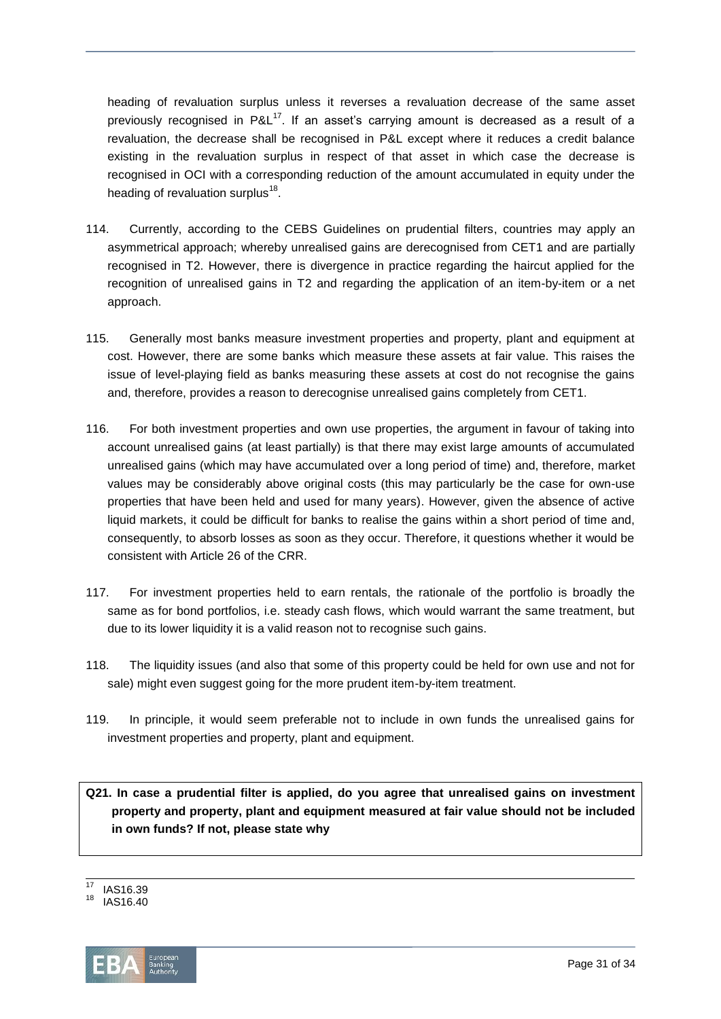heading of revaluation surplus unless it reverses a revaluation decrease of the same asset previously recognised in P&L<sup>17</sup>. If an asset's carrying amount is decreased as a result of a revaluation, the decrease shall be recognised in P&L except where it reduces a credit balance existing in the revaluation surplus in respect of that asset in which case the decrease is recognised in OCI with a corresponding reduction of the amount accumulated in equity under the heading of revaluation surplus<sup>18</sup>.

- 114. Currently, according to the CEBS Guidelines on prudential filters, countries may apply an asymmetrical approach; whereby unrealised gains are derecognised from CET1 and are partially recognised in T2. However, there is divergence in practice regarding the haircut applied for the recognition of unrealised gains in T2 and regarding the application of an item-by-item or a net approach.
- 115. Generally most banks measure investment properties and property, plant and equipment at cost. However, there are some banks which measure these assets at fair value. This raises the issue of level-playing field as banks measuring these assets at cost do not recognise the gains and, therefore, provides a reason to derecognise unrealised gains completely from CET1.
- 116. For both investment properties and own use properties, the argument in favour of taking into account unrealised gains (at least partially) is that there may exist large amounts of accumulated unrealised gains (which may have accumulated over a long period of time) and, therefore, market values may be considerably above original costs (this may particularly be the case for own-use properties that have been held and used for many years). However, given the absence of active liquid markets, it could be difficult for banks to realise the gains within a short period of time and, consequently, to absorb losses as soon as they occur. Therefore, it questions whether it would be consistent with Article 26 of the CRR.
- 117. For investment properties held to earn rentals, the rationale of the portfolio is broadly the same as for bond portfolios, i.e. steady cash flows, which would warrant the same treatment, but due to its lower liquidity it is a valid reason not to recognise such gains.
- 118. The liquidity issues (and also that some of this property could be held for own use and not for sale) might even suggest going for the more prudent item-by-item treatment.
- 119. In principle, it would seem preferable not to include in own funds the unrealised gains for investment properties and property, plant and equipment.

**Q21. In case a prudential filter is applied, do you agree that unrealised gains on investment property and property, plant and equipment measured at fair value should not be included in own funds? If not, please state why**

<sup>18</sup> IAS16.40



 $\overline{17}$ IAS16.39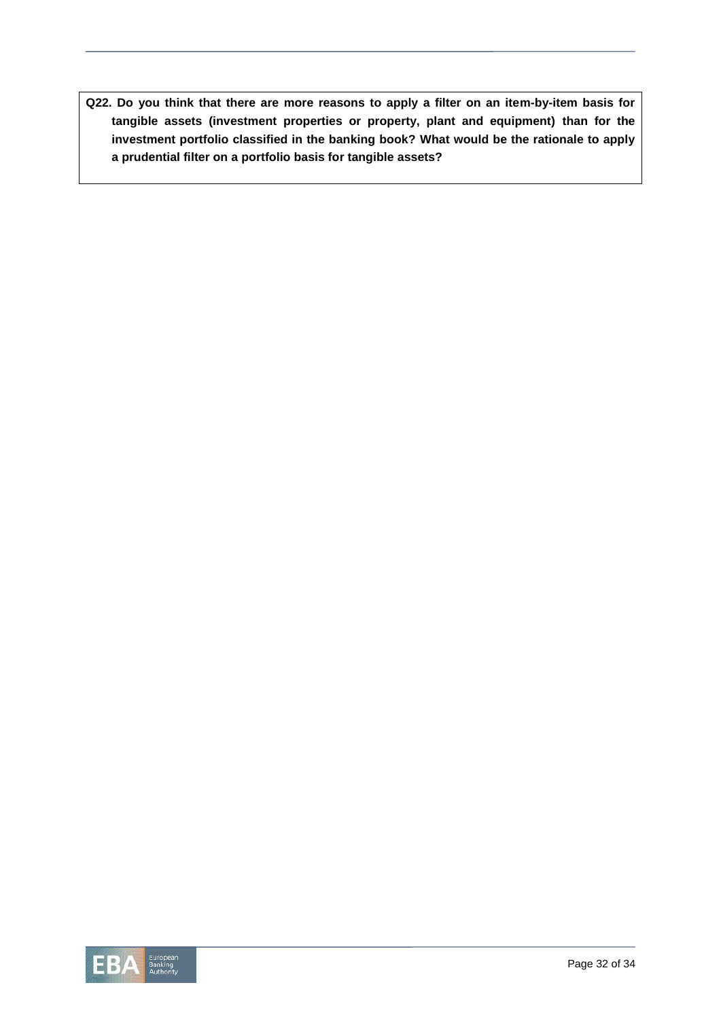**Q22. Do you think that there are more reasons to apply a filter on an item-by-item basis for tangible assets (investment properties or property, plant and equipment) than for the investment portfolio classified in the banking book? What would be the rationale to apply a prudential filter on a portfolio basis for tangible assets?**

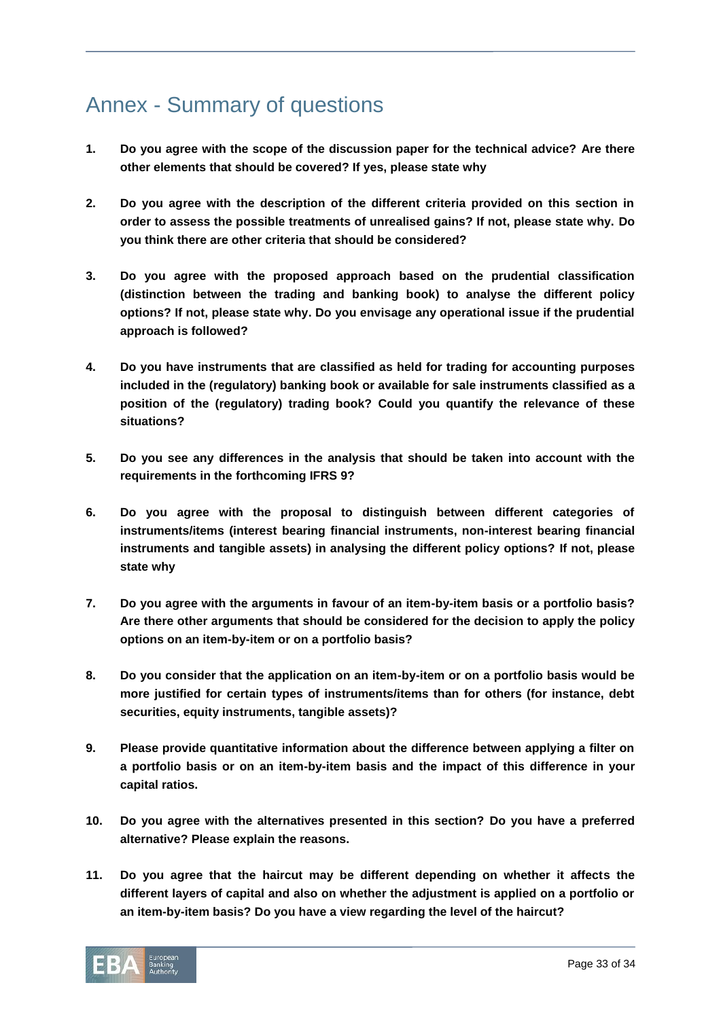# Annex - Summary of questions

- **1. Do you agree with the scope of the discussion paper for the technical advice? Are there other elements that should be covered? If yes, please state why**
- **2. Do you agree with the description of the different criteria provided on this section in order to assess the possible treatments of unrealised gains? If not, please state why. Do you think there are other criteria that should be considered?**
- **3. Do you agree with the proposed approach based on the prudential classification (distinction between the trading and banking book) to analyse the different policy options? If not, please state why. Do you envisage any operational issue if the prudential approach is followed?**
- **4. Do you have instruments that are classified as held for trading for accounting purposes included in the (regulatory) banking book or available for sale instruments classified as a position of the (regulatory) trading book? Could you quantify the relevance of these situations?**
- **5. Do you see any differences in the analysis that should be taken into account with the requirements in the forthcoming IFRS 9?**
- **6. Do you agree with the proposal to distinguish between different categories of instruments/items (interest bearing financial instruments, non-interest bearing financial instruments and tangible assets) in analysing the different policy options? If not, please state why**
- **7. Do you agree with the arguments in favour of an item-by-item basis or a portfolio basis? Are there other arguments that should be considered for the decision to apply the policy options on an item-by-item or on a portfolio basis?**
- **8. Do you consider that the application on an item-by-item or on a portfolio basis would be more justified for certain types of instruments/items than for others (for instance, debt securities, equity instruments, tangible assets)?**
- **9. Please provide quantitative information about the difference between applying a filter on a portfolio basis or on an item-by-item basis and the impact of this difference in your capital ratios.**
- **10. Do you agree with the alternatives presented in this section? Do you have a preferred alternative? Please explain the reasons.**
- **11. Do you agree that the haircut may be different depending on whether it affects the different layers of capital and also on whether the adjustment is applied on a portfolio or an item-by-item basis? Do you have a view regarding the level of the haircut?**